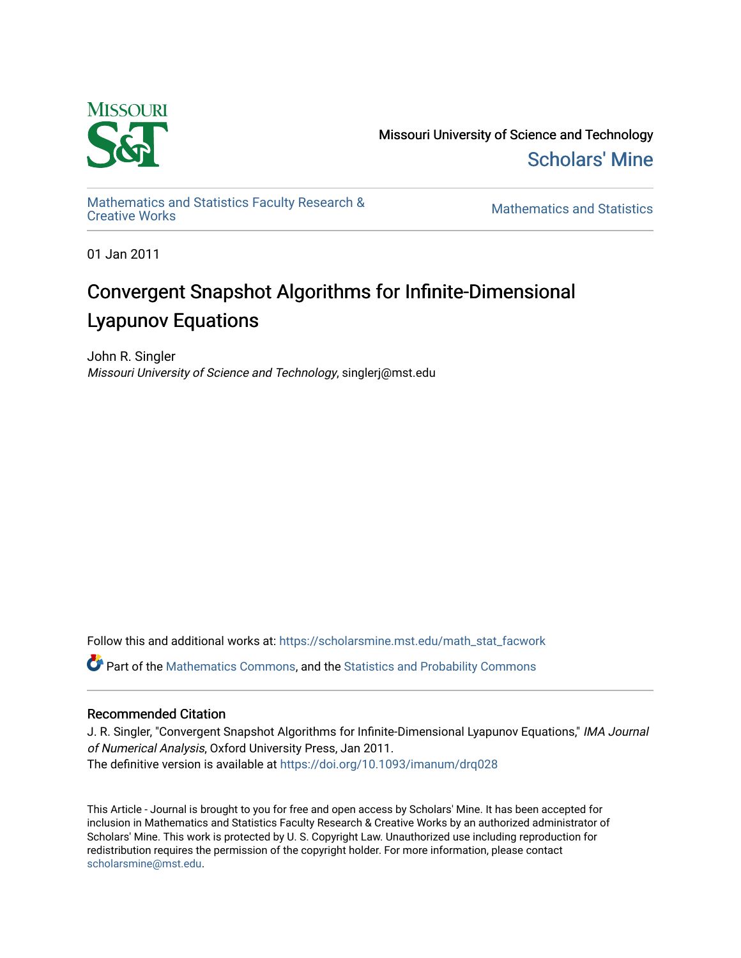

Missouri University of Science and Technology [Scholars' Mine](https://scholarsmine.mst.edu/) 

[Mathematics and Statistics Faculty Research &](https://scholarsmine.mst.edu/math_stat_facwork) 

**Mathematics and Statistics** 

01 Jan 2011

# Convergent Snapshot Algorithms for Infinite-Dimensional Lyapunov Equations

John R. Singler Missouri University of Science and Technology, singlerj@mst.edu

Follow this and additional works at: [https://scholarsmine.mst.edu/math\\_stat\\_facwork](https://scholarsmine.mst.edu/math_stat_facwork?utm_source=scholarsmine.mst.edu%2Fmath_stat_facwork%2F665&utm_medium=PDF&utm_campaign=PDFCoverPages)

Part of the [Mathematics Commons](http://network.bepress.com/hgg/discipline/174?utm_source=scholarsmine.mst.edu%2Fmath_stat_facwork%2F665&utm_medium=PDF&utm_campaign=PDFCoverPages), and the [Statistics and Probability Commons](http://network.bepress.com/hgg/discipline/208?utm_source=scholarsmine.mst.edu%2Fmath_stat_facwork%2F665&utm_medium=PDF&utm_campaign=PDFCoverPages)

#### Recommended Citation

J. R. Singler, "Convergent Snapshot Algorithms for Infinite-Dimensional Lyapunov Equations," IMA Journal of Numerical Analysis, Oxford University Press, Jan 2011. The definitive version is available at <https://doi.org/10.1093/imanum/drq028>

This Article - Journal is brought to you for free and open access by Scholars' Mine. It has been accepted for inclusion in Mathematics and Statistics Faculty Research & Creative Works by an authorized administrator of Scholars' Mine. This work is protected by U. S. Copyright Law. Unauthorized use including reproduction for redistribution requires the permission of the copyright holder. For more information, please contact [scholarsmine@mst.edu.](mailto:scholarsmine@mst.edu)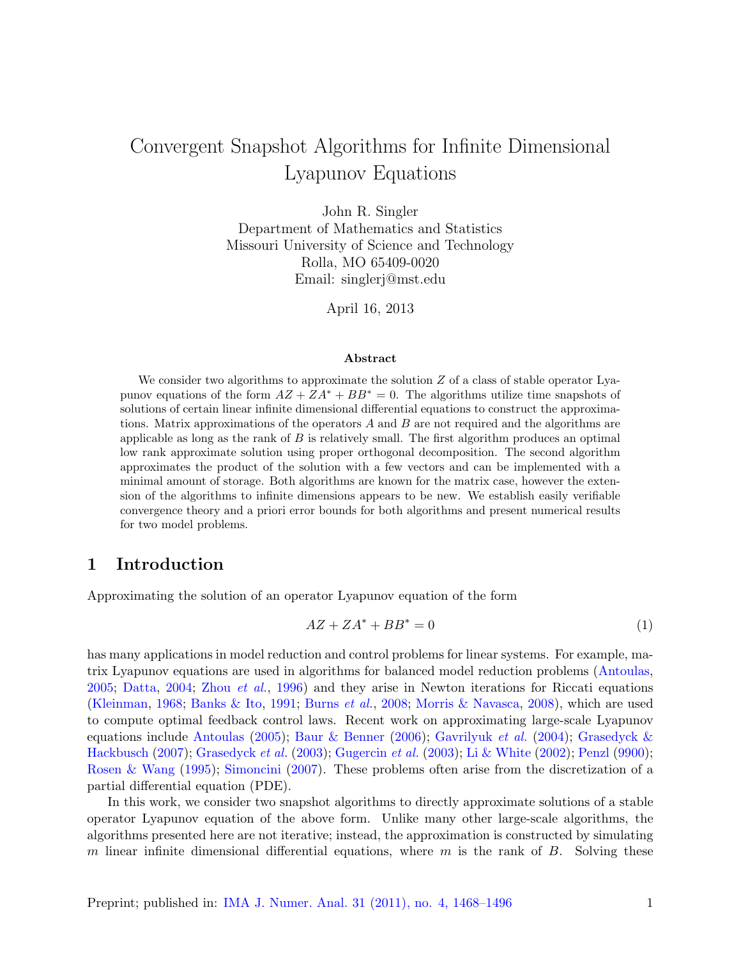## Convergent Snapshot Algorithms for Infinite Dimensional Lyapunov Equations

John R. Singler Department of Mathematics and Statistics Missouri University of Science and Technology Rolla, MO 65409-0020 Email: singlerj@mst.edu

April 16, 2013

#### Abstract

We consider two algorithms to approximate the solution  $Z$  of a class of stable operator Lyapunov equations of the form  $AZ + ZA^* + BB^* = 0$ . The algorithms utilize time snapshots of solutions of certain linear infinite dimensional differential equations to construct the approximations. Matrix approximations of the operators  $A$  and  $B$  are not required and the algorithms are applicable as long as the rank of  $B$  is relatively small. The first algorithm produces an optimal low rank approximate solution using proper orthogonal decomposition. The second algorithm approximates the product of the solution with a few vectors and can be implemented with a minimal amount of storage. Both algorithms are known for the matrix case, however the extension of the algorithms to infinite dimensions appears to be new. We establish easily verifiable convergence theory and a priori error bounds for both algorithms and present numerical results for two model problems.

### <span id="page-1-1"></span>1 Introduction

Approximating the solution of an operator Lyapunov equation of the form

<span id="page-1-0"></span>
$$
AZ + ZA^* + BB^* = 0 \tag{1}
$$

has many applications in model reduction and control problems for linear systems. For example, matrix Lyapunov equations are used in algorithms for balanced model reduction problems [\(Antoulas,](#page-26-0) [2005;](#page-26-0) [Datta,](#page-27-0) [2004;](#page-27-0) Zhou [et al.](#page-29-0), [1996\)](#page-29-0) and they arise in Newton iterations for Riccati equations [\(Kleinman,](#page-28-0) [1968;](#page-28-0) [Banks & Ito,](#page-26-1) [1991;](#page-26-1) [Burns](#page-26-2) et al., [2008;](#page-26-2) [Morris & Navasca,](#page-28-1) [2008\)](#page-28-1), which are used to compute optimal feedback control laws. Recent work on approximating large-scale Lyapunov equations include [Antoulas](#page-26-0) [\(2005\)](#page-26-0); [Baur & Benner](#page-26-3) [\(2006\)](#page-26-3); [Gavrilyuk](#page-27-1) et al. [\(2004\)](#page-27-1); [Grasedyck &](#page-27-2) [Hackbusch](#page-27-2) [\(2007\)](#page-27-2); [Grasedyck](#page-27-3) et al. [\(2003\)](#page-27-3); [Gugercin](#page-27-4) et al. [\(2003\)](#page-27-4); [Li & White](#page-28-2) [\(2002\)](#page-28-2); [Penzl](#page-28-3) [\(9900\)](#page-28-3); [Rosen & Wang](#page-28-4) [\(1995\)](#page-28-4); [Simoncini](#page-29-1) [\(2007\)](#page-29-1). These problems often arise from the discretization of a partial differential equation (PDE).

In this work, we consider two snapshot algorithms to directly approximate solutions of a stable operator Lyapunov equation of the above form. Unlike many other large-scale algorithms, the algorithms presented here are not iterative; instead, the approximation is constructed by simulating m linear infinite dimensional differential equations, where  $m$  is the rank of  $B$ . Solving these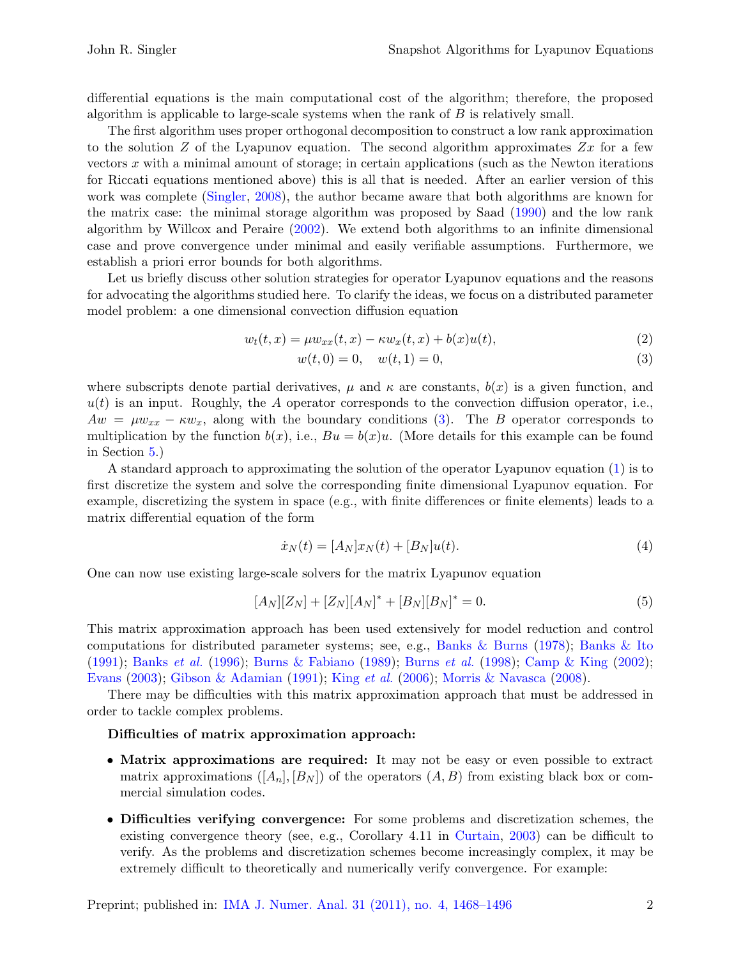differential equations is the main computational cost of the algorithm; therefore, the proposed algorithm is applicable to large-scale systems when the rank of  $B$  is relatively small.

The first algorithm uses proper orthogonal decomposition to construct a low rank approximation to the solution Z of the Lyapunov equation. The second algorithm approximates  $Zx$  for a few vectors x with a minimal amount of storage; in certain applications (such as the Newton iterations for Riccati equations mentioned above) this is all that is needed. After an earlier version of this work was complete [\(Singler,](#page-29-2) [2008\)](#page-29-2), the author became aware that both algorithms are known for the matrix case: the minimal storage algorithm was proposed by Saad [\(1990\)](#page-29-3) and the low rank algorithm by Willcox and Peraire [\(2002\)](#page-29-4). We extend both algorithms to an infinite dimensional case and prove convergence under minimal and easily verifiable assumptions. Furthermore, we establish a priori error bounds for both algorithms.

Let us briefly discuss other solution strategies for operator Lyapunov equations and the reasons for advocating the algorithms studied here. To clarify the ideas, we focus on a distributed parameter model problem: a one dimensional convection diffusion equation

<span id="page-2-0"></span>
$$
w_t(t, x) = \mu w_{xx}(t, x) - \kappa w_x(t, x) + b(x)u(t),
$$
\n(2)

$$
w(t,0) = 0, \quad w(t,1) = 0,\tag{3}
$$

where subscripts denote partial derivatives,  $\mu$  and  $\kappa$  are constants,  $b(x)$  is a given function, and  $u(t)$  is an input. Roughly, the A operator corresponds to the convection diffusion operator, i.e.,  $Aw = \mu w_{xx} - \kappa w_x$ , along with the boundary conditions [\(3\)](#page-2-0). The B operator corresponds to multiplication by the function  $b(x)$ , i.e.,  $Bu = b(x)u$ . (More details for this example can be found in Section [5.](#page-19-0))

A standard approach to approximating the solution of the operator Lyapunov equation [\(1\)](#page-1-0) is to first discretize the system and solve the corresponding finite dimensional Lyapunov equation. For example, discretizing the system in space (e.g., with finite differences or finite elements) leads to a matrix differential equation of the form

<span id="page-2-1"></span>
$$
\dot{x}_N(t) = [A_N]x_N(t) + [B_N]u(t).
$$
\n(4)

One can now use existing large-scale solvers for the matrix Lyapunov equation

<span id="page-2-2"></span>
$$
[A_N][Z_N] + [Z_N][A_N]^* + [B_N][B_N]^* = 0.
$$
\n(5)

This matrix approximation approach has been used extensively for model reduction and control computations for distributed parameter systems; see, e.g., [Banks & Burns](#page-26-4) [\(1978\)](#page-26-4); [Banks & Ito](#page-26-1) [\(1991\)](#page-26-1); [Banks](#page-26-5) et al. [\(1996\)](#page-26-5); [Burns & Fabiano](#page-27-5) [\(1989\)](#page-27-5); [Burns](#page-26-6) et al. [\(1998\)](#page-26-6); [Camp & King](#page-27-6) [\(2002\)](#page-27-6); [Evans](#page-27-7) [\(2003\)](#page-27-7); [Gibson & Adamian](#page-27-8) [\(1991\)](#page-27-8); King [et al.](#page-28-5) [\(2006\)](#page-28-5); [Morris & Navasca](#page-28-1) [\(2008\)](#page-28-1).

There may be difficulties with this matrix approximation approach that must be addressed in order to tackle complex problems.

#### Difficulties of matrix approximation approach:

- Matrix approximations are required: It may not be easy or even possible to extract matrix approximations  $([A_n], [B_N])$  of the operators  $(A, B)$  from existing black box or commercial simulation codes.
- Difficulties verifying convergence: For some problems and discretization schemes, the existing convergence theory (see, e.g., Corollary 4.11 in [Curtain,](#page-27-9) [2003\)](#page-27-9) can be difficult to verify. As the problems and discretization schemes become increasingly complex, it may be extremely difficult to theoretically and numerically verify convergence. For example: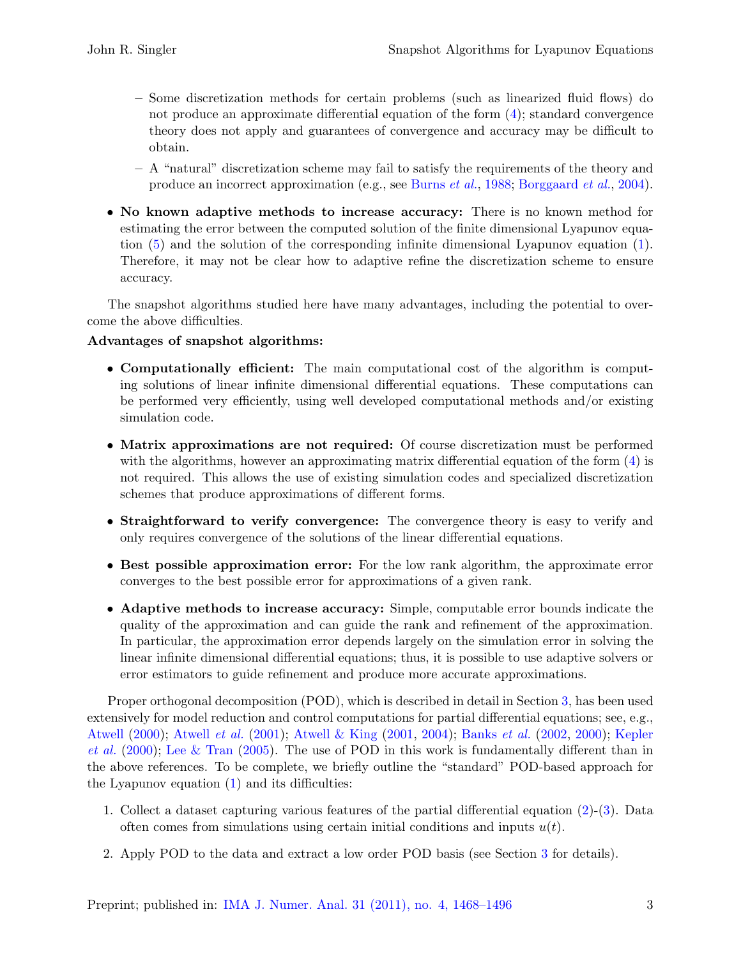- Some discretization methods for certain problems (such as linearized fluid flows) do not produce an approximate differential equation of the form  $(4)$ ; standard convergence theory does not apply and guarantees of convergence and accuracy may be difficult to obtain.
- A "natural" discretization scheme may fail to satisfy the requirements of the theory and produce an incorrect approximation (e.g., see [Burns](#page-26-7) et al., [1988;](#page-26-7) [Borggaard](#page-26-8) et al., [2004\)](#page-26-8).
- No known adaptive methods to increase accuracy: There is no known method for estimating the error between the computed solution of the finite dimensional Lyapunov equation [\(5\)](#page-2-2) and the solution of the corresponding infinite dimensional Lyapunov equation [\(1\)](#page-1-0). Therefore, it may not be clear how to adaptive refine the discretization scheme to ensure accuracy.

The snapshot algorithms studied here have many advantages, including the potential to overcome the above difficulties.

#### Advantages of snapshot algorithms:

- Computationally efficient: The main computational cost of the algorithm is computing solutions of linear infinite dimensional differential equations. These computations can be performed very efficiently, using well developed computational methods and/or existing simulation code.
- Matrix approximations are not required: Of course discretization must be performed with the algorithms, however an approximating matrix differential equation of the form  $(4)$  is not required. This allows the use of existing simulation codes and specialized discretization schemes that produce approximations of different forms.
- Straightforward to verify convergence: The convergence theory is easy to verify and only requires convergence of the solutions of the linear differential equations.
- Best possible approximation error: For the low rank algorithm, the approximate error converges to the best possible error for approximations of a given rank.
- Adaptive methods to increase accuracy: Simple, computable error bounds indicate the quality of the approximation and can guide the rank and refinement of the approximation. In particular, the approximation error depends largely on the simulation error in solving the linear infinite dimensional differential equations; thus, it is possible to use adaptive solvers or error estimators to guide refinement and produce more accurate approximations.

Proper orthogonal decomposition (POD), which is described in detail in Section [3,](#page-9-0) has been used extensively for model reduction and control computations for partial differential equations; see, e.g., [Atwell](#page-26-9) [\(2000\)](#page-26-9); [Atwell](#page-26-10) et al. [\(2001\)](#page-26-10); [Atwell & King](#page-26-11) [\(2001,](#page-26-11) [2004\)](#page-26-12); [Banks](#page-26-13) et al. [\(2002,](#page-26-13) [2000\)](#page-26-14); [Kepler](#page-28-6) [et al.](#page-28-6)  $(2000)$ ; [Lee & Tran](#page-28-7)  $(2005)$ . The use of POD in this work is fundamentally different than in the above references. To be complete, we briefly outline the "standard" POD-based approach for the Lyapunov equation  $(1)$  and its difficulties:

- 1. Collect a dataset capturing various features of the partial differential equation [\(2\)](#page-2-0)-[\(3\)](#page-2-0). Data often comes from simulations using certain initial conditions and inputs  $u(t)$ .
- 2. Apply POD to the data and extract a low order POD basis (see Section [3](#page-9-0) for details).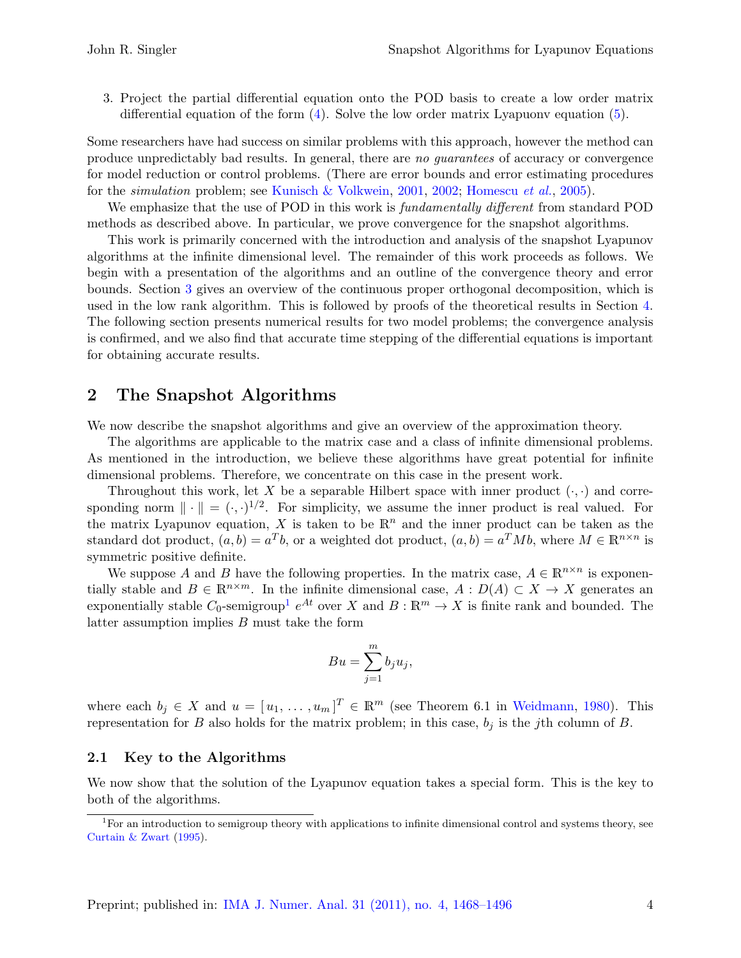<span id="page-4-3"></span>3. Project the partial differential equation onto the POD basis to create a low order matrix differential equation of the form [\(4\)](#page-2-1). Solve the low order matrix Lyapuonv equation [\(5\)](#page-2-2).

Some researchers have had success on similar problems with this approach, however the method can produce unpredictably bad results. In general, there are no guarantees of accuracy or convergence for model reduction or control problems. (There are error bounds and error estimating procedures for the simulation problem; see [Kunisch & Volkwein,](#page-28-8) [2001,](#page-28-8) [2002;](#page-28-9) [Homescu](#page-28-10) et al., [2005\)](#page-28-10).

We emphasize that the use of POD in this work is *fundamentally different* from standard POD methods as described above. In particular, we prove convergence for the snapshot algorithms.

This work is primarily concerned with the introduction and analysis of the snapshot Lyapunov algorithms at the infinite dimensional level. The remainder of this work proceeds as follows. We begin with a presentation of the algorithms and an outline of the convergence theory and error bounds. Section [3](#page-9-0) gives an overview of the continuous proper orthogonal decomposition, which is used in the low rank algorithm. This is followed by proofs of the theoretical results in Section [4.](#page-13-0) The following section presents numerical results for two model problems; the convergence analysis is confirmed, and we also find that accurate time stepping of the differential equations is important for obtaining accurate results.

### <span id="page-4-1"></span>2 The Snapshot Algorithms

We now describe the snapshot algorithms and give an overview of the approximation theory.

The algorithms are applicable to the matrix case and a class of infinite dimensional problems. As mentioned in the introduction, we believe these algorithms have great potential for infinite dimensional problems. Therefore, we concentrate on this case in the present work.

Throughout this work, let X be a separable Hilbert space with inner product  $(\cdot, \cdot)$  and corresponding norm  $\|\cdot\| = (\cdot, \cdot)^{1/2}$ . For simplicity, we assume the inner product is real valued. For the matrix Lyapunov equation, X is taken to be  $\mathbb{R}^n$  and the inner product can be taken as the standard dot product,  $(a, b) = a^T b$ , or a weighted dot product,  $(a, b) = a^T M b$ , where  $M \in \mathbb{R}^{n \times n}$  is symmetric positive definite.

We suppose A and B have the following properties. In the matrix case,  $A \in \mathbb{R}^{n \times n}$  is exponentially stable and  $B \in \mathbb{R}^{n \times m}$ . In the infinite dimensional case,  $A : D(A) \subset X \to X$  generates an exponentially stable  $C_0$ -semigroup<sup>[1](#page-4-0)</sup>  $e^{At}$  over X and  $B: \mathbb{R}^m \to X$  is finite rank and bounded. The latter assumption implies B must take the form

$$
Bu = \sum_{j=1}^{m} b_j u_j,
$$

where each  $b_j \in X$  and  $u = [u_1, \ldots, u_m]^T \in \mathbb{R}^m$  (see Theorem 6.1 in [Weidmann,](#page-29-5) [1980\)](#page-29-5). This representation for B also holds for the matrix problem; in this case,  $b_i$  is the jth column of B.

#### <span id="page-4-2"></span>2.1 Key to the Algorithms

We now show that the solution of the Lyapunov equation takes a special form. This is the key to both of the algorithms.

<span id="page-4-0"></span> ${}^{1}$  For an introduction to semigroup theory with applications to infinite dimensional control and systems theory, see [Curtain & Zwart](#page-27-10) [\(1995\)](#page-27-10).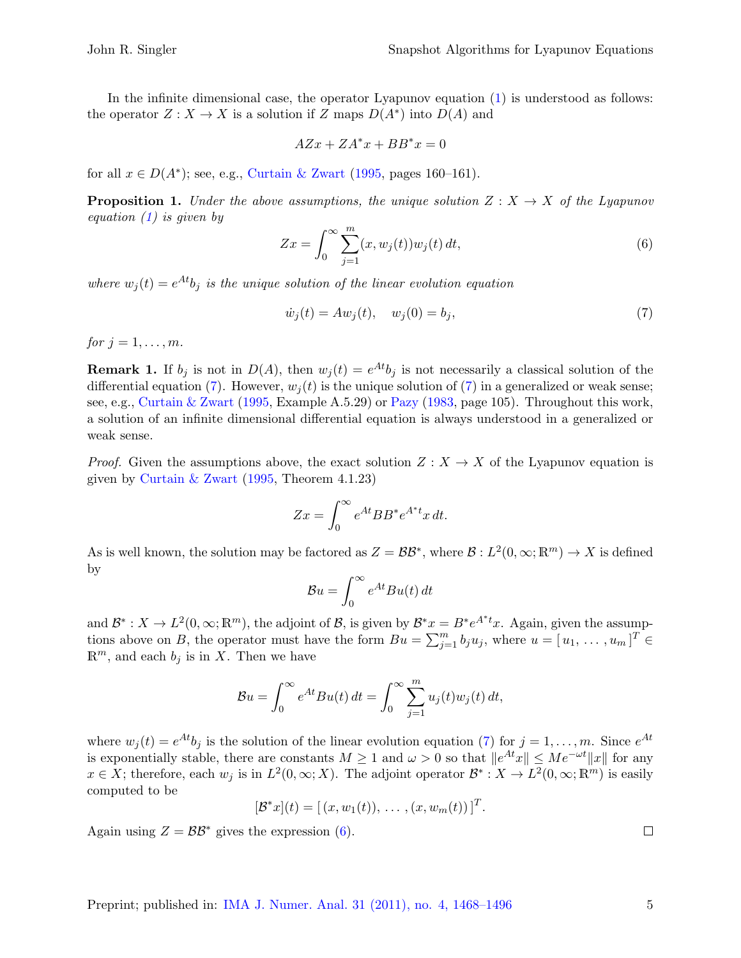In the infinite dimensional case, the operator Lyapunov equation [\(1\)](#page-1-0) is understood as follows: the operator  $Z : X \to X$  is a solution if Z maps  $D(A^*)$  into  $D(A)$  and

$$
AZx + ZA^*x + BB^*x = 0
$$

for all  $x \in D(A^*)$ ; see, e.g., [Curtain & Zwart](#page-27-10) [\(1995,](#page-27-10) pages 160-161).

<span id="page-5-2"></span>**Proposition 1.** Under the above assumptions, the unique solution  $Z: X \rightarrow X$  of the Lyapunov equation  $(1)$  is given by

<span id="page-5-1"></span>
$$
Zx = \int_0^\infty \sum_{j=1}^m (x, w_j(t)) w_j(t) dt,
$$
\n(6)

where  $w_j(t) = e^{At}b_j$  is the unique solution of the linear evolution equation

<span id="page-5-0"></span>
$$
\dot{w}_j(t) = Aw_j(t), \quad w_j(0) = b_j,\tag{7}
$$

for  $j = 1, \ldots, m$ .

<span id="page-5-3"></span>**Remark 1.** If  $b_j$  is not in  $D(A)$ , then  $w_j(t) = e^{At}b_j$  is not necessarily a classical solution of the differential equation [\(7\)](#page-5-0). However,  $w_i(t)$  is the unique solution of (7) in a generalized or weak sense; see, e.g., [Curtain & Zwart](#page-27-10) [\(1995,](#page-27-10) Example A.5.29) or [Pazy](#page-28-11) [\(1983,](#page-28-11) page 105). Throughout this work, a solution of an infinite dimensional differential equation is always understood in a generalized or weak sense.

*Proof.* Given the assumptions above, the exact solution  $Z : X \to X$  of the Lyapunov equation is given by Curtain  $& Zwart$  [\(1995,](#page-27-10) Theorem 4.1.23)

$$
Zx = \int_0^\infty e^{At}BB^*e^{A^*t}x dt.
$$

As is well known, the solution may be factored as  $Z = \mathcal{BB}^*$ , where  $\mathcal{B}: L^2(0, \infty; \mathbb{R}^m) \to X$  is defined by

$$
\mathcal{B}u = \int_0^\infty e^{At}Bu(t) dt
$$

and  $\mathcal{B}^*: X \to L^2(0,\infty;\mathbb{R}^m)$ , the adjoint of  $\mathcal{B}$ , is given by  $\mathcal{B}^*x = B^*e^{A^*t}x$ . Again, given the assumptions above on B, the operator must have the form  $Bu = \sum_{j=1}^{m} b_j u_j$ , where  $u = [u_1, \ldots, u_m]^T \in$  $\mathbb{R}^m$ , and each  $b_i$  is in X. Then we have

$$
\mathcal{B}u = \int_0^\infty e^{At}Bu(t) dt = \int_0^\infty \sum_{j=1}^m u_j(t)w_j(t) dt,
$$

where  $w_j(t) = e^{At}b_j$  is the solution of the linear evolution equation [\(7\)](#page-5-0) for  $j = 1, \ldots, m$ . Since  $e^{At}$ is exponentially stable, there are constants  $M \geq 1$  and  $\omega > 0$  so that  $||e^{At}x|| \leq Me^{-\omega t}||x||$  for any  $x \in X$ ; therefore, each  $w_j$  is in  $L^2(0,\infty;X)$ . The adjoint operator  $\mathcal{B}^*: X \to L^2(0,\infty;\mathbb{R}^m)$  is easily computed to be

$$
[\mathcal{B}^*x](t) = [(x, w_1(t)), \dots, (x, w_m(t))]^T.
$$

Again using  $Z = \mathcal{BB}^*$  gives the expression [\(6\)](#page-5-1).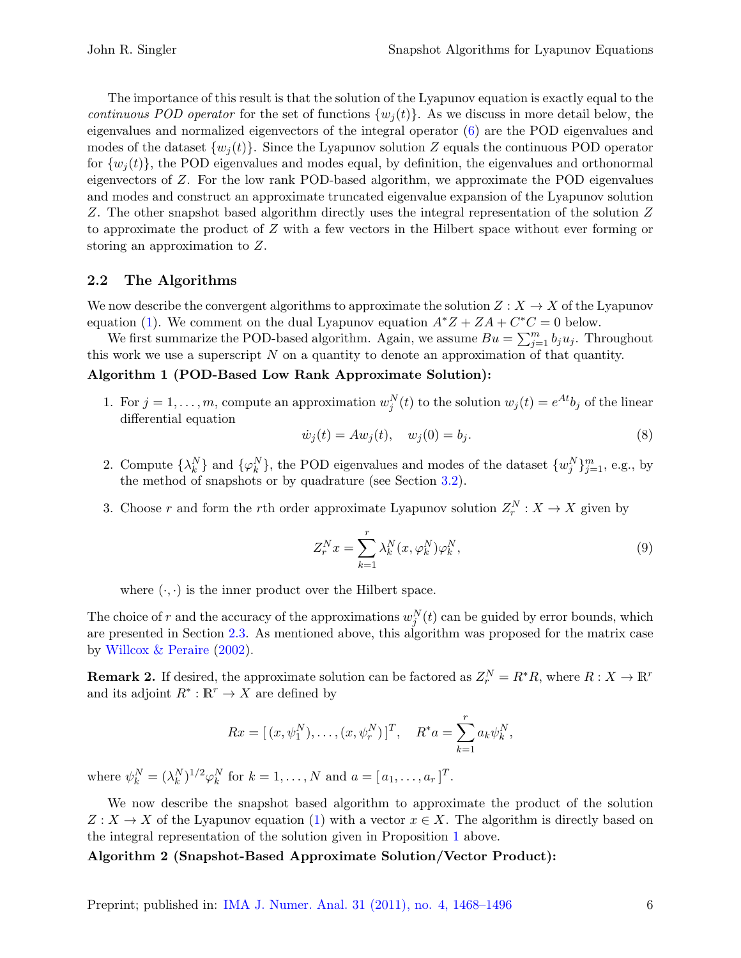The importance of this result is that the solution of the Lyapunov equation is exactly equal to the continuous POD operator for the set of functions  $\{w_i(t)\}\$ . As we discuss in more detail below, the eigenvalues and normalized eigenvectors of the integral operator [\(6\)](#page-5-1) are the POD eigenvalues and modes of the dataset  $\{w_i(t)\}\$ . Since the Lyapunov solution Z equals the continuous POD operator for  $\{w_i(t)\}\$ , the POD eigenvalues and modes equal, by definition, the eigenvalues and orthonormal eigenvectors of Z. For the low rank POD-based algorithm, we approximate the POD eigenvalues and modes and construct an approximate truncated eigenvalue expansion of the Lyapunov solution Z. The other snapshot based algorithm directly uses the integral representation of the solution Z to approximate the product of  $Z$  with a few vectors in the Hilbert space without ever forming or storing an approximation to Z.

#### 2.2 The Algorithms

We now describe the convergent algorithms to approximate the solution  $Z : X \to X$  of the Lyapunov equation [\(1\)](#page-1-0). We comment on the dual Lyapunov equation  $A^*Z + ZA + C^*C = 0$  below.

We first summarize the POD-based algorithm. Again, we assume  $Bu = \sum_{j=1}^{m} b_j u_j$ . Throughout this work we use a superscript  $N$  on a quantity to denote an approximation of that quantity.

#### Algorithm 1 (POD-Based Low Rank Approximate Solution):

1. For  $j = 1, \ldots, m$ , compute an approximation  $w_j^N(t)$  to the solution  $w_j(t) = e^{At}b_j$  of the linear differential equation

<span id="page-6-0"></span>
$$
\dot{w}_j(t) = Aw_j(t), \quad w_j(0) = b_j.
$$
\n(8)

- 2. Compute  $\{\lambda_k^N\}$  and  $\{\varphi_k^N\}$ , the POD eigenvalues and modes of the dataset  $\{w_j^N\}_{j=1}^m$ , e.g., by the method of snapshots or by quadrature (see Section [3.2\)](#page-10-0).
- 3. Choose r and form the rth order approximate Lyapunov solution  $Z_r^N : X \to X$  given by

<span id="page-6-1"></span>
$$
Z_r^N x = \sum_{k=1}^r \lambda_k^N(x, \varphi_k^N) \varphi_k^N, \qquad (9)
$$

where  $(\cdot, \cdot)$  is the inner product over the Hilbert space.

The choice of r and the accuracy of the approximations  $w_j^N(t)$  can be guided by error bounds, which are presented in Section [2.3.](#page-7-0) As mentioned above, this algorithm was proposed for the matrix case by [Willcox & Peraire](#page-29-4) [\(2002\)](#page-29-4).

**Remark 2.** If desired, the approximate solution can be factored as  $Z_r^N = R^*R$ , where  $R: X \to \mathbb{R}^r$ and its adjoint  $R^* : \mathbb{R}^r \to X$  are defined by

$$
Rx = [(x, \psi_1^N), \dots, (x, \psi_r^N)]^T
$$
,  $R^*a = \sum_{k=1}^r a_k \psi_k^N$ ,

where  $\psi_k^N = (\lambda_k^N)^{1/2} \varphi_k^N$  for  $k = 1, ..., N$  and  $a = [a_1, ..., a_r]^T$ .

We now describe the snapshot based algorithm to approximate the product of the solution  $Z: X \to X$  of the Lyapunov equation [\(1\)](#page-1-0) with a vector  $x \in X$ . The algorithm is directly based on the integral representation of the solution given in Proposition [1](#page-5-2) above.

#### Algorithm 2 (Snapshot-Based Approximate Solution/Vector Product):

Preprint; published in: [IMA J. Numer. Anal. 31 \(2011\), no. 4, 1468–1496](http://dx.doi.org/10.1093/imanum/drq028) 6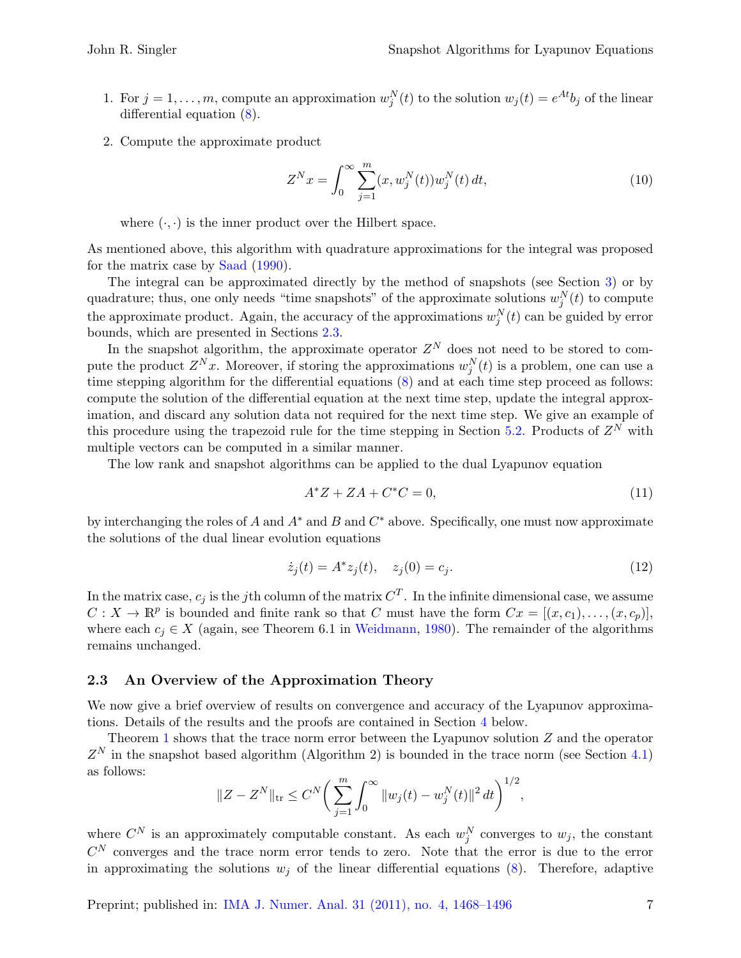- 1. For  $j = 1, \ldots, m$ , compute an approximation  $w_j^N(t)$  to the solution  $w_j(t) = e^{At}b_j$  of the linear differential equation [\(8\)](#page-6-0).
- 2. Compute the approximate product

<span id="page-7-1"></span>
$$
Z^{N}x = \int_{0}^{\infty} \sum_{j=1}^{m} (x, w_{j}^{N}(t)) w_{j}^{N}(t) dt,
$$
\n(10)

where  $(\cdot, \cdot)$  is the inner product over the Hilbert space.

As mentioned above, this algorithm with quadrature approximations for the integral was proposed for the matrix case by [Saad](#page-29-3) [\(1990\)](#page-29-3).

The integral can be approximated directly by the method of snapshots (see Section [3\)](#page-9-0) or by quadrature; thus, one only needs "time snapshots" of the approximate solutions  $w_j^N(t)$  to compute the approximate product. Again, the accuracy of the approximations  $w_j^N(t)$  can be guided by error bounds, which are presented in Sections [2.3.](#page-7-0)

In the snapshot algorithm, the approximate operator  $Z^N$  does not need to be stored to compute the product  $Z^N x$ . Moreover, if storing the approximations  $w_j^N(t)$  is a problem, one can use a time stepping algorithm for the differential equations [\(8\)](#page-6-0) and at each time step proceed as follows: compute the solution of the differential equation at the next time step, update the integral approximation, and discard any solution data not required for the next time step. We give an example of this procedure using the trapezoid rule for the time stepping in Section [5.2.](#page-22-0) Products of  $Z^N$  with multiple vectors can be computed in a similar manner.

The low rank and snapshot algorithms can be applied to the dual Lyapunov equation

<span id="page-7-3"></span>
$$
A^*Z + ZA + C^*C = 0,\t\t(11)
$$

by interchanging the roles of A and  $A^*$  and B and  $C^*$  above. Specifically, one must now approximate the solutions of the dual linear evolution equations

<span id="page-7-2"></span>
$$
\dot{z}_j(t) = A^* z_j(t), \quad z_j(0) = c_j. \tag{12}
$$

In the matrix case,  $c_j$  is the jth column of the matrix  $C^T$ . In the infinite dimensional case, we assume  $C: X \to \mathbb{R}^p$  is bounded and finite rank so that C must have the form  $Cx = [(x, c_1), \ldots, (x, c_p)],$ where each  $c_j \in X$  (again, see Theorem 6.1 in [Weidmann,](#page-29-5) [1980\)](#page-29-5). The remainder of the algorithms remains unchanged.

#### <span id="page-7-0"></span>2.3 An Overview of the Approximation Theory

We now give a brief overview of results on convergence and accuracy of the Lyapunov approximations. Details of the results and the proofs are contained in Section [4](#page-13-0) below.

Theorem [1](#page-17-0) shows that the trace norm error between the Lyapunov solution Z and the operator  $Z<sup>N</sup>$  in the snapshot based algorithm (Algorithm 2) is bounded in the trace norm (see Section [4.1\)](#page-13-1) as follows:

$$
||Z - Z^N||_{\text{tr}} \le C^N \bigg( \sum_{j=1}^m \int_0^\infty ||w_j(t) - w_j^N(t)||^2 dt \bigg)^{1/2},
$$

where  $C^N$  is an approximately computable constant. As each  $w_j^N$  converges to  $w_j$ , the constant  $C<sup>N</sup>$  converges and the trace norm error tends to zero. Note that the error is due to the error in approximating the solutions  $w_i$  of the linear differential equations [\(8\)](#page-6-0). Therefore, adaptive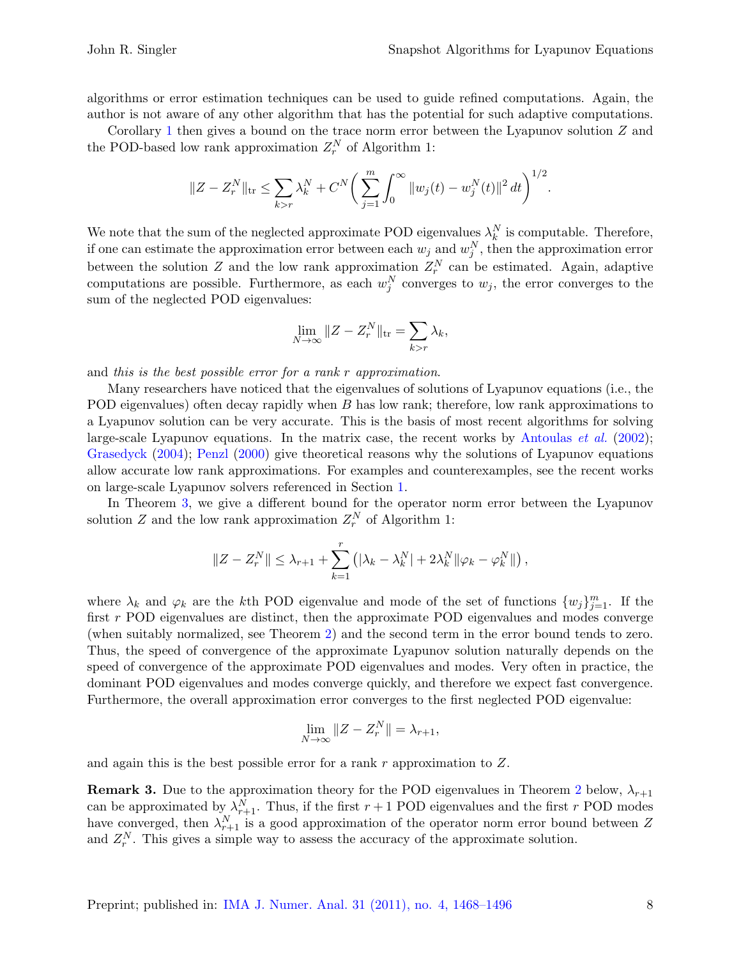algorithms or error estimation techniques can be used to guide refined computations. Again, the author is not aware of any other algorithm that has the potential for such adaptive computations.

Corollary [1](#page-18-0) then gives a bound on the trace norm error between the Lyapunov solution Z and the POD-based low rank approximation  $Z_r^N$  of Algorithm 1:

$$
||Z - Z_r^N||_{\text{tr}} \le \sum_{k>r} \lambda_k^N + C^N \bigg( \sum_{j=1}^m \int_0^\infty ||w_j(t) - w_j^N(t)||^2 dt \bigg)^{1/2}.
$$

We note that the sum of the neglected approximate POD eigenvalues  $\lambda_k^N$  is computable. Therefore, if one can estimate the approximation error between each  $w_j$  and  $w_j^N$ , then the approximation error between the solution Z and the low rank approximation  $Z_r^N$  can be estimated. Again, adaptive computations are possible. Furthermore, as each  $w_j^N$  converges to  $w_j$ , the error converges to the sum of the neglected POD eigenvalues:

$$
\lim_{N \to \infty} \|Z - Z_r^N\|_{\text{tr}} = \sum_{k > r} \lambda_k,
$$

and this is the best possible error for a rank r approximation.

Many researchers have noticed that the eigenvalues of solutions of Lyapunov equations (i.e., the POD eigenvalues) often decay rapidly when B has low rank; therefore, low rank approximations to a Lyapunov solution can be very accurate. This is the basis of most recent algorithms for solving large-scale Lyapunov equations. In the matrix case, the recent works by [Antoulas](#page-25-0) *et al.* [\(2002\)](#page-25-0); [Grasedyck](#page-27-11) [\(2004\)](#page-27-11); [Penzl](#page-28-12) [\(2000\)](#page-28-12) give theoretical reasons why the solutions of Lyapunov equations allow accurate low rank approximations. For examples and counterexamples, see the recent works on large-scale Lyapunov solvers referenced in Section [1.](#page-1-1)

In Theorem [3,](#page-19-1) we give a different bound for the operator norm error between the Lyapunov solution Z and the low rank approximation  $Z_r^N$  of Algorithm 1:

$$
||Z - Z_r^N|| \leq \lambda_{r+1} + \sum_{k=1}^r (|\lambda_k - \lambda_k^N| + 2\lambda_k^N ||\varphi_k - \varphi_k^N||),
$$

where  $\lambda_k$  and  $\varphi_k$  are the kth POD eigenvalue and mode of the set of functions  $\{w_j\}_{j=1}^m$ . If the first r POD eigenvalues are distinct, then the approximate POD eigenvalues and modes converge (when suitably normalized, see Theorem [2\)](#page-18-1) and the second term in the error bound tends to zero. Thus, the speed of convergence of the approximate Lyapunov solution naturally depends on the speed of convergence of the approximate POD eigenvalues and modes. Very often in practice, the dominant POD eigenvalues and modes converge quickly, and therefore we expect fast convergence. Furthermore, the overall approximation error converges to the first neglected POD eigenvalue:

$$
\lim_{N \to \infty} \|Z - Z_r^N\| = \lambda_{r+1},
$$

and again this is the best possible error for a rank r approximation to  $Z$ .

<span id="page-8-0"></span>**Remark 3.** Due to the approximation theory for the POD eigenvalues in Theorem [2](#page-18-1) below,  $\lambda_{r+1}$ can be approximated by  $\lambda_{r+1}^N$ . Thus, if the first  $r+1$  POD eigenvalues and the first r POD modes have converged, then  $\lambda_{r+1}^N$  is a good approximation of the operator norm error bound between Z and  $Z_r^N$ . This gives a simple way to assess the accuracy of the approximate solution.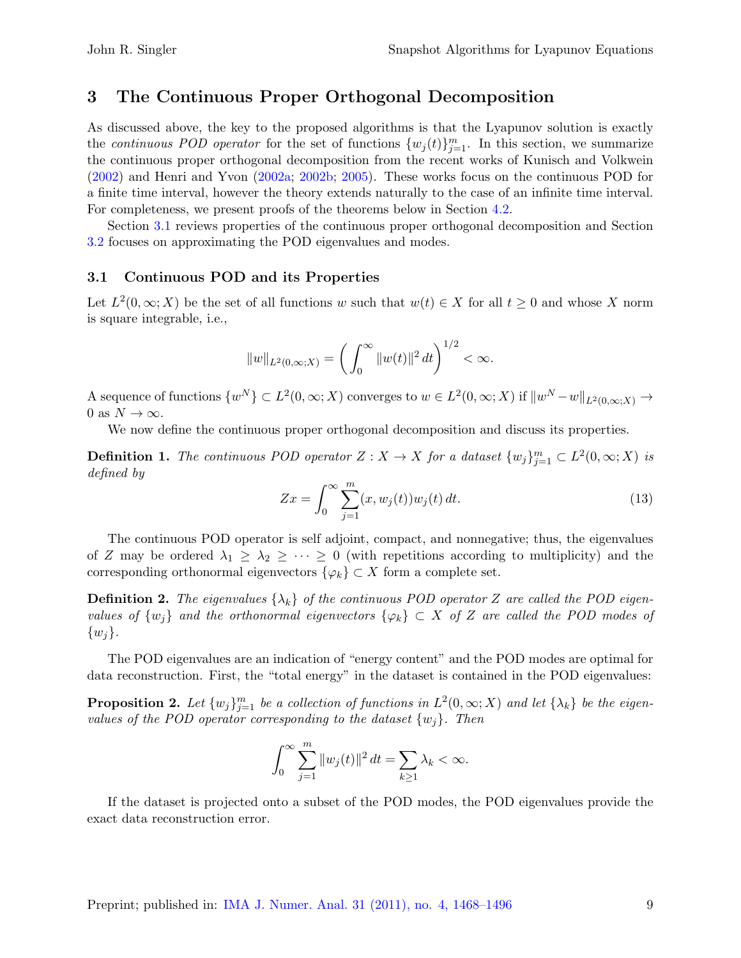### <span id="page-9-0"></span>3 The Continuous Proper Orthogonal Decomposition

As discussed above, the key to the proposed algorithms is that the Lyapunov solution is exactly the *continuous POD operator* for the set of functions  $\{w_j(t)\}_{j=1}^m$ . In this section, we summarize the continuous proper orthogonal decomposition from the recent works of Kunisch and Volkwein [\(2002\)](#page-28-9) and Henri and Yvon [\(2002a;](#page-28-13) [2002b;](#page-28-14) [2005\)](#page-28-15). These works focus on the continuous POD for a finite time interval, however the theory extends naturally to the case of an infinite time interval. For completeness, we present proofs of the theorems below in Section [4.2.](#page-14-0)

Section [3.1](#page-9-1) reviews properties of the continuous proper orthogonal decomposition and Section [3.2](#page-10-0) focuses on approximating the POD eigenvalues and modes.

#### <span id="page-9-1"></span>3.1 Continuous POD and its Properties

Let  $L^2(0,\infty;X)$  be the set of all functions w such that  $w(t) \in X$  for all  $t \geq 0$  and whose X norm is square integrable, i.e.,

$$
||w||_{L^2(0,\infty;X)} = \left(\int_0^\infty ||w(t)||^2 dt\right)^{1/2} < \infty.
$$

A sequence of functions  $\{w^N\} \subset L^2(0,\infty;X)$  converges to  $w \in L^2(0,\infty;X)$  if  $||w^N - w||_{L^2(0,\infty;X)} \to$ 0 as  $N \to \infty$ .

We now define the continuous proper orthogonal decomposition and discuss its properties.

<span id="page-9-3"></span>**Definition 1.** The continuous POD operator  $Z: X \to X$  for a dataset  $\{w_j\}_{j=1}^m \subset L^2(0,\infty;X)$  is defined by

<span id="page-9-2"></span>
$$
Zx = \int_0^\infty \sum_{j=1}^m (x, w_j(t)) w_j(t) dt.
$$
 (13)

The continuous POD operator is self adjoint, compact, and nonnegative; thus, the eigenvalues of Z may be ordered  $\lambda_1 \geq \lambda_2 \geq \cdots \geq 0$  (with repetitions according to multiplicity) and the corresponding orthonormal eigenvectors  $\{\varphi_k\} \subset X$  form a complete set.

**Definition 2.** The eigenvalues  $\{\lambda_k\}$  of the continuous POD operator Z are called the POD eigenvalues of  $\{w_i\}$  and the orthonormal eigenvectors  $\{\varphi_k\} \subset X$  of Z are called the POD modes of  $\{w_i\}.$ 

The POD eigenvalues are an indication of "energy content" and the POD modes are optimal for data reconstruction. First, the "total energy" in the dataset is contained in the POD eigenvalues:

<span id="page-9-4"></span>**Proposition 2.** Let  $\{w_j\}_{j=1}^m$  be a collection of functions in  $L^2(0,\infty;X)$  and let  $\{\lambda_k\}$  be the eigenvalues of the POD operator corresponding to the dataset  $\{w_i\}$ . Then

$$
\int_0^\infty \sum_{j=1}^m \|w_j(t)\|^2 dt = \sum_{k \ge 1} \lambda_k < \infty.
$$

If the dataset is projected onto a subset of the POD modes, the POD eigenvalues provide the exact data reconstruction error.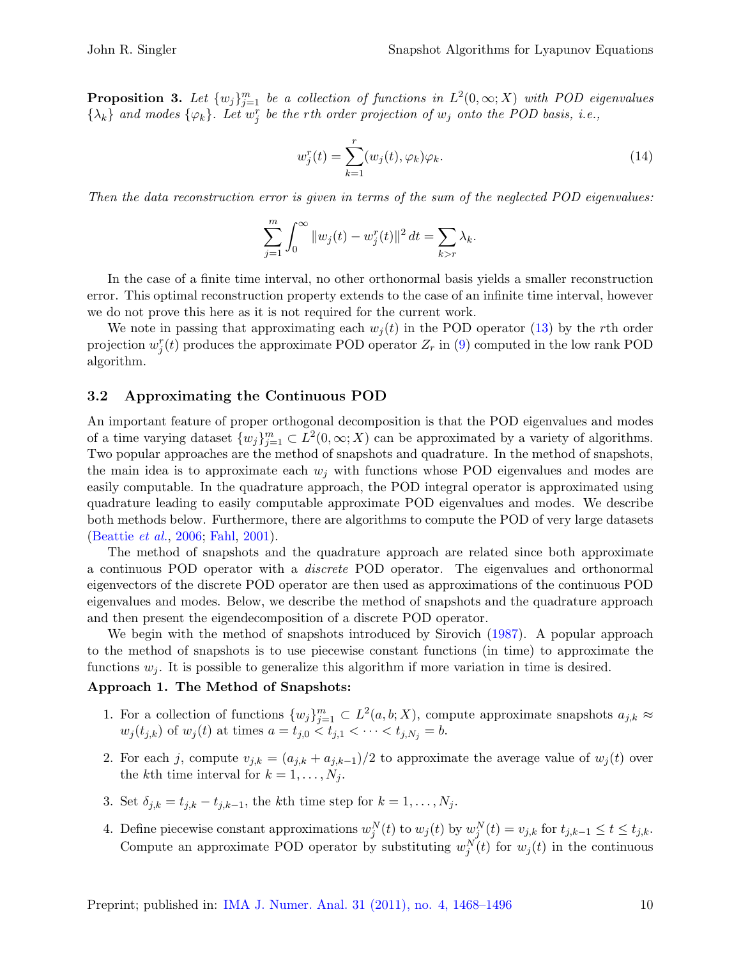<span id="page-10-1"></span>**Proposition 3.** Let  $\{w_j\}_{j=1}^m$  be a collection of functions in  $L^2(0,\infty;X)$  with POD eigenvalues  $\{\lambda_k\}$  and modes  $\{\varphi_k\}$ . Let  $w_j^r$  be the rth order projection of  $w_j$  onto the POD basis, i.e.,

<span id="page-10-2"></span>
$$
w_j^r(t) = \sum_{k=1}^r (w_j(t), \varphi_k) \varphi_k.
$$
\n(14)

Then the data reconstruction error is given in terms of the sum of the neglected POD eigenvalues:

$$
\sum_{j=1}^{m} \int_0^{\infty} ||w_j(t) - w_j^r(t)||^2 dt = \sum_{k > r} \lambda_k.
$$

In the case of a finite time interval, no other orthonormal basis yields a smaller reconstruction error. This optimal reconstruction property extends to the case of an infinite time interval, however we do not prove this here as it is not required for the current work.

We note in passing that approximating each  $w_i(t)$  in the POD operator [\(13\)](#page-9-2) by the rth order projection  $w_j^r(t)$  produces the approximate POD operator  $Z_r$  in [\(9\)](#page-6-1) computed in the low rank POD algorithm.

#### <span id="page-10-0"></span>3.2 Approximating the Continuous POD

An important feature of proper orthogonal decomposition is that the POD eigenvalues and modes of a time varying dataset  $\{w_j\}_{j=1}^m \subset L^2(0,\infty;X)$  can be approximated by a variety of algorithms. Two popular approaches are the method of snapshots and quadrature. In the method of snapshots, the main idea is to approximate each  $w_i$  with functions whose POD eigenvalues and modes are easily computable. In the quadrature approach, the POD integral operator is approximated using quadrature leading to easily computable approximate POD eigenvalues and modes. We describe both methods below. Furthermore, there are algorithms to compute the POD of very large datasets [\(Beattie](#page-26-15) et al., [2006;](#page-26-15) [Fahl,](#page-27-12) [2001\)](#page-27-12).

The method of snapshots and the quadrature approach are related since both approximate a continuous POD operator with a discrete POD operator. The eigenvalues and orthonormal eigenvectors of the discrete POD operator are then used as approximations of the continuous POD eigenvalues and modes. Below, we describe the method of snapshots and the quadrature approach and then present the eigendecomposition of a discrete POD operator.

We begin with the method of snapshots introduced by Sirovich [\(1987\)](#page-29-6). A popular approach to the method of snapshots is to use piecewise constant functions (in time) to approximate the functions  $w_i$ . It is possible to generalize this algorithm if more variation in time is desired.

#### Approach 1. The Method of Snapshots:

- 1. For a collection of functions  $\{w_j\}_{j=1}^m \subset L^2(a,b;X)$ , compute approximate snapshots  $a_{j,k} \approx$  $w_j(t_{j,k})$  of  $w_j(t)$  at times  $a = t_{j,0} < t_{j,1} < \cdots < t_{j,N_j} = b$ .
- 2. For each j, compute  $v_{j,k} = (a_{j,k} + a_{j,k-1})/2$  to approximate the average value of  $w_j(t)$  over the kth time interval for  $k = 1, \ldots, N_j$ .
- 3. Set  $\delta_{j,k} = t_{j,k} t_{j,k-1}$ , the kth time step for  $k = 1, ..., N_j$ .
- 4. Define piecewise constant approximations  $w_j^N(t)$  to  $w_j(t)$  by  $w_j^N(t) = v_{j,k}$  for  $t_{j,k-1} \le t \le t_{j,k}$ . Compute an approximate POD operator by substituting  $w_j^N(t)$  for  $w_j(t)$  in the continuous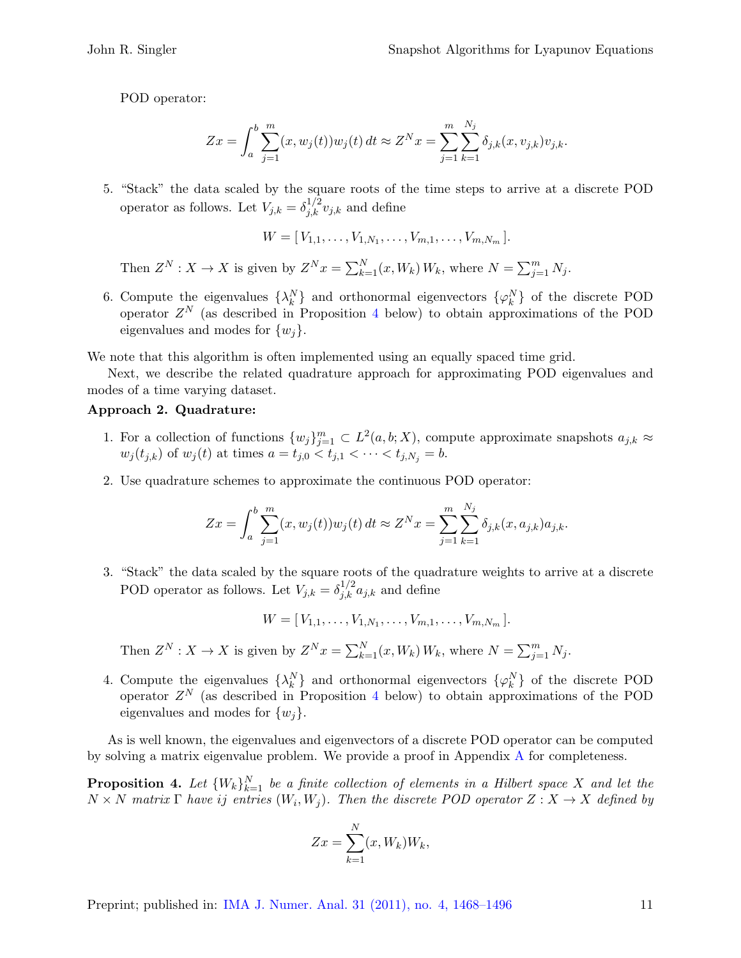POD operator:

$$
Zx = \int_a^b \sum_{j=1}^m (x, w_j(t))w_j(t) dt \approx Z^N x = \sum_{j=1}^m \sum_{k=1}^{N_j} \delta_{j,k}(x, v_{j,k})v_{j,k}.
$$

5. "Stack" the data scaled by the square roots of the time steps to arrive at a discrete POD operator as follows. Let  $V_{j,k} = \delta_{j,k}^{1/2} v_{j,k}$  and define

$$
W = [V_{1,1}, \ldots, V_{1,N_1}, \ldots, V_{m,1}, \ldots, V_{m,N_m}].
$$

Then  $Z^N: X \to X$  is given by  $Z^N x = \sum_{k=1}^N (x, W_k) W_k$ , where  $N = \sum_{j=1}^m N_j$ .

6. Compute the eigenvalues  $\{\lambda_k^N\}$  and orthonormal eigenvectors  $\{\varphi_k^N\}$  of the discrete POD operator  $Z^N$  (as described in Proposition [4](#page-11-0) below) to obtain approximations of the POD eigenvalues and modes for  $\{w_i\}$ .

We note that this algorithm is often implemented using an equally spaced time grid.

Next, we describe the related quadrature approach for approximating POD eigenvalues and modes of a time varying dataset.

#### Approach 2. Quadrature:

- 1. For a collection of functions  $\{w_j\}_{j=1}^m \subset L^2(a,b;X)$ , compute approximate snapshots  $a_{j,k} \approx$  $w_j(t_{j,k})$  of  $w_j(t)$  at times  $a = t_{j,0} < t_{j,1} < \cdots < t_{j,N_j} = b$ .
- 2. Use quadrature schemes to approximate the continuous POD operator:

$$
Zx = \int_a^b \sum_{j=1}^m (x, w_j(t))w_j(t) dt \approx Z^N x = \sum_{j=1}^m \sum_{k=1}^{N_j} \delta_{j,k}(x, a_{j,k})a_{j,k}.
$$

3. "Stack" the data scaled by the square roots of the quadrature weights to arrive at a discrete POD operator as follows. Let  $V_{j,k} = \delta_{j,k}^{1/2} a_{j,k}$  and define

 $W = [V_{1,1}, \ldots, V_{1,N_1}, \ldots, V_{m,1}, \ldots, V_{m,N_m}].$ 

Then  $Z^N: X \to X$  is given by  $Z^N x = \sum_{k=1}^N (x, W_k) W_k$ , where  $N = \sum_{j=1}^m N_j$ .

4. Compute the eigenvalues  $\{\lambda_k^N\}$  and orthonormal eigenvectors  $\{\varphi_k^N\}$  of the discrete POD operator  $Z^N$  (as described in Proposition [4](#page-11-0) below) to obtain approximations of the POD eigenvalues and modes for  $\{w_i\}$ .

As is well known, the eigenvalues and eigenvectors of a discrete POD operator can be computed by solving a matrix eigenvalue problem. We provide a proof in Appendix [A](#page-24-0) for completeness.

<span id="page-11-0"></span>**Proposition 4.** Let  ${W_k}_{k=1}^N$  be a finite collection of elements in a Hilbert space X and let the  $N \times N$  matrix  $\Gamma$  have ij entries  $(W_i, W_j)$ . Then the discrete POD operator  $Z : X \to X$  defined by

$$
Zx = \sum_{k=1}^{N} (x, W_k) W_k,
$$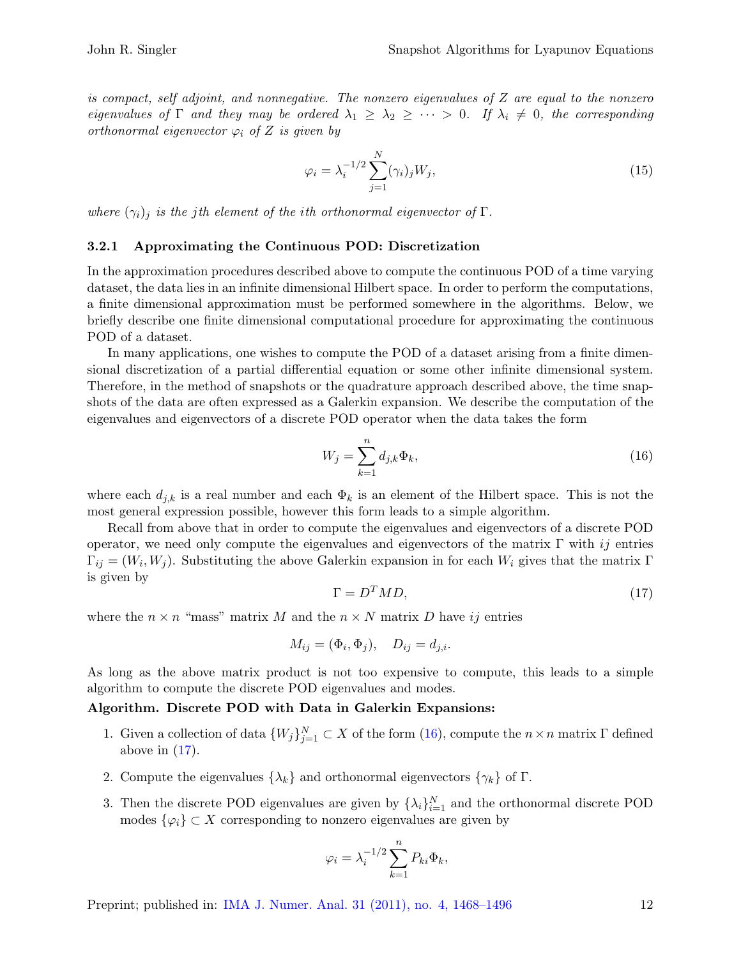is compact, self adjoint, and nonnegative. The nonzero eigenvalues of Z are equal to the nonzero eigenvalues of  $\Gamma$  and they may be ordered  $\lambda_1 \geq \lambda_2 \geq \cdots > 0$ . If  $\lambda_i \neq 0$ , the corresponding orthonormal eigenvector  $\varphi_i$  of Z is given by

<span id="page-12-2"></span>
$$
\varphi_i = \lambda_i^{-1/2} \sum_{j=1}^N (\gamma_i)_j W_j,\tag{15}
$$

where  $(\gamma_i)_j$  is the jth element of the ith orthonormal eigenvector of  $\Gamma$ .

#### 3.2.1 Approximating the Continuous POD: Discretization

In the approximation procedures described above to compute the continuous POD of a time varying dataset, the data lies in an infinite dimensional Hilbert space. In order to perform the computations, a finite dimensional approximation must be performed somewhere in the algorithms. Below, we briefly describe one finite dimensional computational procedure for approximating the continuous POD of a dataset.

In many applications, one wishes to compute the POD of a dataset arising from a finite dimensional discretization of a partial differential equation or some other infinite dimensional system. Therefore, in the method of snapshots or the quadrature approach described above, the time snapshots of the data are often expressed as a Galerkin expansion. We describe the computation of the eigenvalues and eigenvectors of a discrete POD operator when the data takes the form

<span id="page-12-0"></span>
$$
W_j = \sum_{k=1}^n d_{j,k} \Phi_k,\tag{16}
$$

where each  $d_{j,k}$  is a real number and each  $\Phi_k$  is an element of the Hilbert space. This is not the most general expression possible, however this form leads to a simple algorithm.

Recall from above that in order to compute the eigenvalues and eigenvectors of a discrete POD operator, we need only compute the eigenvalues and eigenvectors of the matrix  $\Gamma$  with ij entries  $\Gamma_{ij} = (W_i, W_j)$ . Substituting the above Galerkin expansion in for each  $W_i$  gives that the matrix  $\Gamma$ is given by

<span id="page-12-1"></span>
$$
\Gamma = D^T M D,\tag{17}
$$

where the  $n \times n$  "mass" matrix M and the  $n \times N$  matrix D have ij entries

$$
M_{ij} = (\Phi_i, \Phi_j), \quad D_{ij} = d_{j,i}.
$$

As long as the above matrix product is not too expensive to compute, this leads to a simple algorithm to compute the discrete POD eigenvalues and modes.

#### Algorithm. Discrete POD with Data in Galerkin Expansions:

- 1. Given a collection of data  $\{W_j\}_{j=1}^N \subset X$  of the form [\(16\)](#page-12-0), compute the  $n \times n$  matrix  $\Gamma$  defined above in  $(17)$ .
- 2. Compute the eigenvalues  $\{\lambda_k\}$  and orthonormal eigenvectors  $\{\gamma_k\}$  of  $\Gamma$ .
- <span id="page-12-3"></span>3. Then the discrete POD eigenvalues are given by  $\{\lambda_i\}_{i=1}^N$  and the orthonormal discrete POD modes  $\{\varphi_i\} \subset X$  corresponding to nonzero eigenvalues are given by

$$
\varphi_i = \lambda_i^{-1/2} \sum_{k=1}^n P_{ki} \Phi_k,
$$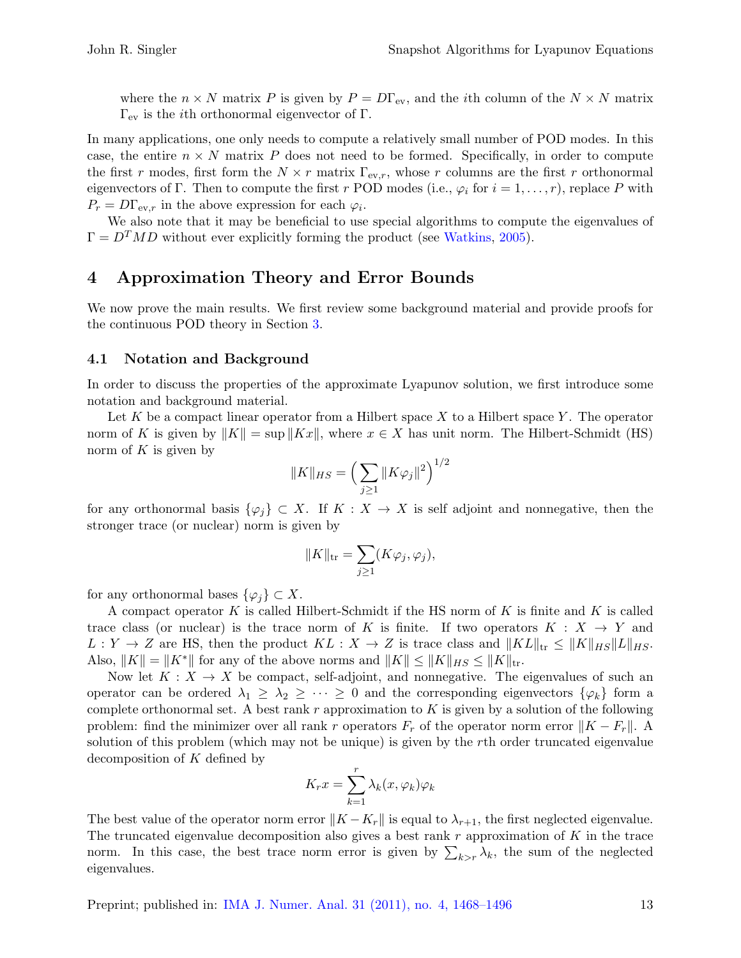where the  $n \times N$  matrix P is given by  $P = D\Gamma_{\text{ev}}$ , and the *i*th column of the  $N \times N$  matrix  $Γ<sub>ev</sub>$  is the *i*th orthonormal eigenvector of Γ.

In many applications, one only needs to compute a relatively small number of POD modes. In this case, the entire  $n \times N$  matrix P does not need to be formed. Specifically, in order to compute the first r modes, first form the  $N \times r$  matrix  $\Gamma_{ev,r}$ , whose r columns are the first r orthonormal eigenvectors of Γ. Then to compute the first r POD modes (i.e.,  $\varphi_i$  for  $i = 1, \ldots, r$ ), replace P with  $P_r = D\Gamma_{\text{ev},r}$  in the above expression for each  $\varphi_i$ .

We also note that it may be beneficial to use special algorithms to compute the eigenvalues of  $\Gamma = D^TMD$  without ever explicitly forming the product (see [Watkins,](#page-29-7) [2005\)](#page-29-7).

### <span id="page-13-0"></span>4 Approximation Theory and Error Bounds

We now prove the main results. We first review some background material and provide proofs for the continuous POD theory in Section [3.](#page-9-0)

#### <span id="page-13-1"></span>4.1 Notation and Background

In order to discuss the properties of the approximate Lyapunov solution, we first introduce some notation and background material.

Let  $K$  be a compact linear operator from a Hilbert space  $X$  to a Hilbert space  $Y$ . The operator norm of K is given by  $||K|| = \sup ||Kx||$ , where  $x \in X$  has unit norm. The Hilbert-Schmidt (HS) norm of  $K$  is given by

$$
||K||_{HS} = \left(\sum_{j\geq 1} ||K\varphi_j||^2\right)^{1/2}
$$

for any orthonormal basis  $\{\varphi_j\} \subset X$ . If  $K : X \to X$  is self adjoint and nonnegative, then the stronger trace (or nuclear) norm is given by

$$
||K||_{\text{tr}} = \sum_{j\geq 1} (K\varphi_j, \varphi_j),
$$

for any orthonormal bases  $\{\varphi_i\} \subset X$ .

A compact operator K is called Hilbert-Schmidt if the HS norm of K is finite and K is called trace class (or nuclear) is the trace norm of K is finite. If two operators  $K : X \to Y$  and  $L: Y \to Z$  are HS, then the product  $KL: X \to Z$  is trace class and  $||KL||_{\text{tr}} \leq ||K||_{HS}||L||_{HS}$ . Also,  $||K|| = ||K^*||$  for any of the above norms and  $||K|| \le ||K||_{HS} \le ||K||_{tr}$ .

Now let  $K: X \to X$  be compact, self-adjoint, and nonnegative. The eigenvalues of such an operator can be ordered  $\lambda_1 \geq \lambda_2 \geq \cdots \geq 0$  and the corresponding eigenvectors  $\{\varphi_k\}$  form a complete orthonormal set. A best rank r approximation to K is given by a solution of the following problem: find the minimizer over all rank r operators  $F_r$  of the operator norm error  $||K - F_r||$ . A solution of this problem (which may not be unique) is given by the rth order truncated eigenvalue decomposition of  $K$  defined by

$$
K_rx = \sum_{k=1}^{r} \lambda_k(x, \varphi_k)\varphi_k
$$

The best value of the operator norm error  $||K - K_r||$  is equal to  $\lambda_{r+1}$ , the first neglected eigenvalue. The truncated eigenvalue decomposition also gives a best rank  $r$  approximation of  $K$  in the trace norm. In this case, the best trace norm error is given by  $\sum_{k>r} \lambda_k$ , the sum of the neglected eigenvalues.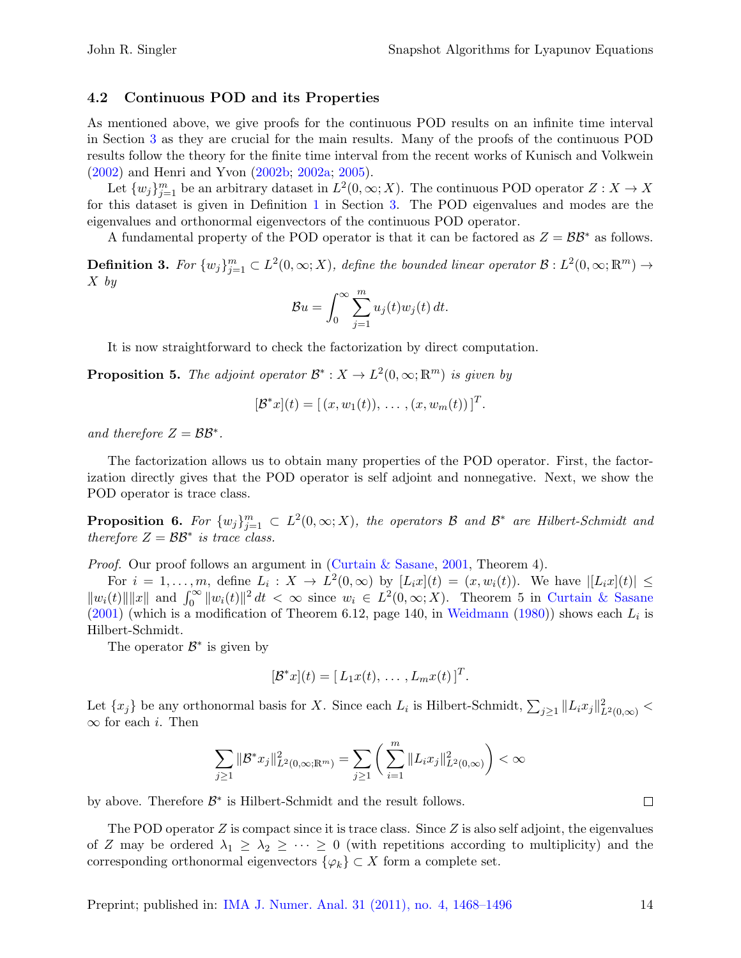#### <span id="page-14-0"></span>4.2 Continuous POD and its Properties

As mentioned above, we give proofs for the continuous POD results on an infinite time interval in Section [3](#page-9-0) as they are crucial for the main results. Many of the proofs of the continuous POD results follow the theory for the finite time interval from the recent works of Kunisch and Volkwein [\(2002\)](#page-28-9) and Henri and Yvon [\(2002b;](#page-28-14) [2002a;](#page-28-13) [2005\)](#page-28-15).

Let  $\{w_j\}_{j=1}^m$  be an arbitrary dataset in  $L^2(0,\infty;X)$ . The continuous POD operator  $Z: X \to X$ for this dataset is given in Definition [1](#page-9-3) in Section [3.](#page-9-0) The POD eigenvalues and modes are the eigenvalues and orthonormal eigenvectors of the continuous POD operator.

A fundamental property of the POD operator is that it can be factored as  $Z = \mathcal{BB}^*$  as follows.

<span id="page-14-1"></span>**Definition 3.** For  $\{w_j\}_{j=1}^m \subset L^2(0,\infty;X)$ , define the bounded linear operator  $\mathcal{B}: L^2(0,\infty;\mathbb{R}^m) \to$ X by

$$
\mathcal{B}u = \int_0^\infty \sum_{j=1}^m u_j(t)w_j(t) dt.
$$

It is now straightforward to check the factorization by direct computation.

**Proposition 5.** The adjoint operator  $\mathcal{B}^* : X \to L^2(0,\infty;\mathbb{R}^m)$  is given by

$$
[\mathcal{B}^*x](t) = [(x, w_1(t)), \dots, (x, w_m(t))]^T.
$$

and therefore  $Z = \mathcal{BB}^*$ .

The factorization allows us to obtain many properties of the POD operator. First, the factorization directly gives that the POD operator is self adjoint and nonnegative. Next, we show the POD operator is trace class.

<span id="page-14-2"></span>**Proposition 6.** For  $\{w_j\}_{j=1}^m \subset L^2(0,\infty;X)$ , the operators  $\mathcal{B}$  and  $\mathcal{B}^*$  are Hilbert-Schmidt and therefore  $Z = \mathcal{BB}^*$  is trace class.

Proof. Our proof follows an argument in [\(Curtain & Sasane,](#page-27-13) [2001,](#page-27-13) Theorem 4).

For  $i = 1, \ldots, m$ , define  $L_i : X \to L^2(0, \infty)$  by  $[L_i x](t) = (x, w_i(t))$ . We have  $|[L_i x](t)| \le$  $||w_i(t)|| ||x||$  and  $\int_0^\infty ||w_i(t)||^2 dt < \infty$  since  $w_i \in L^2(0,\infty;X)$ . Theorem 5 in [Curtain & Sasane](#page-27-13)  $(2001)$  (which is a modification of Theorem 6.12, page 140, in [Weidmann](#page-29-5)  $(1980)$ ) shows each  $L_i$  is Hilbert-Schmidt.

The operator  $\mathcal{B}^*$  is given by

$$
[\mathcal{B}^*x](t) = [L_1x(t), \ldots, L_mx(t)]^T.
$$

Let  $\{x_j\}$  be any orthonormal basis for X. Since each  $L_i$  is Hilbert-Schmidt,  $\sum_{j\geq 1} ||L_i x_j||^2_{L^2(0,\infty)}$  $\infty$  for each *i*. Then

$$
\sum_{j\geq 1} ||\mathcal{B}^* x_j||^2_{L^2(0,\infty;{\mathbb R}^m)} = \sum_{j\geq 1} \left(\sum_{i=1}^m ||L_i x_j||^2_{L^2(0,\infty)}\right) < \infty
$$

by above. Therefore  $\mathcal{B}^*$  is Hilbert-Schmidt and the result follows.

The POD operator  $Z$  is compact since it is trace class. Since  $Z$  is also self adjoint, the eigenvalues of Z may be ordered  $\lambda_1 \geq \lambda_2 \geq \cdots \geq 0$  (with repetitions according to multiplicity) and the corresponding orthonormal eigenvectors  $\{\varphi_k\} \subset X$  form a complete set.

Preprint; published in: [IMA J. Numer. Anal. 31 \(2011\), no. 4, 1468–1496](http://dx.doi.org/10.1093/imanum/drq028) 14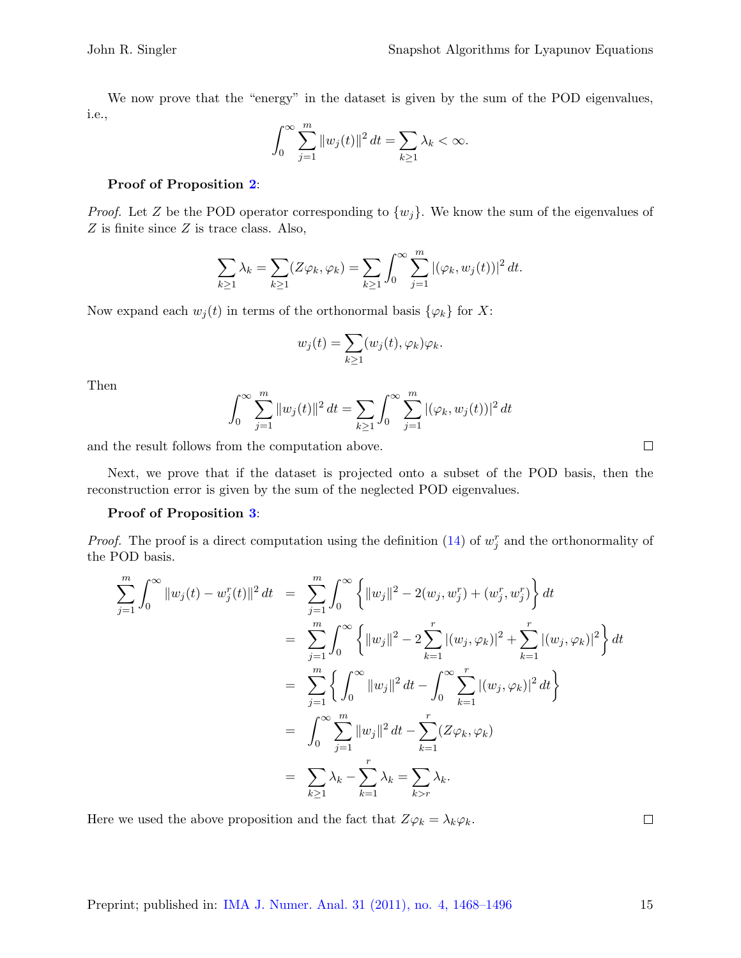We now prove that the "energy" in the dataset is given by the sum of the POD eigenvalues, i.e.,

$$
\int_0^\infty \sum_{j=1}^m \|w_j(t)\|^2 dt = \sum_{k \ge 1} \lambda_k < \infty.
$$

#### Proof of Proposition [2](#page-9-4):

*Proof.* Let Z be the POD operator corresponding to  $\{w_i\}$ . We know the sum of the eigenvalues of Z is finite since Z is trace class. Also,

$$
\sum_{k\geq 1} \lambda_k = \sum_{k\geq 1} (Z\varphi_k, \varphi_k) = \sum_{k\geq 1} \int_0^\infty \sum_{j=1}^m |(\varphi_k, w_j(t))|^2 dt.
$$

Now expand each  $w_j(t)$  in terms of the orthonormal basis  $\{\varphi_k\}$  for X:

$$
w_j(t) = \sum_{k \ge 1} (w_j(t), \varphi_k) \varphi_k.
$$

Then

$$
\int_0^\infty \sum_{j=1}^m ||w_j(t)||^2 dt = \sum_{k \ge 1} \int_0^\infty \sum_{j=1}^m |(\varphi_k, w_j(t))|^2 dt
$$

and the result follows from the computation above.

Next, we prove that if the dataset is projected onto a subset of the POD basis, then the reconstruction error is given by the sum of the neglected POD eigenvalues.

#### Proof of Proposition [3](#page-10-1):

*Proof.* The proof is a direct computation using the definition [\(14\)](#page-10-2) of  $w_j^r$  and the orthonormality of the POD basis.

$$
\sum_{j=1}^{m} \int_{0}^{\infty} \|w_{j}(t) - w_{j}^{r}(t)\|^{2} dt = \sum_{j=1}^{m} \int_{0}^{\infty} \left\{ \|w_{j}\|^{2} - 2(w_{j}, w_{j}^{r}) + (w_{j}^{r}, w_{j}^{r}) \right\} dt
$$
  
\n
$$
= \sum_{j=1}^{m} \int_{0}^{\infty} \left\{ \|w_{j}\|^{2} - 2 \sum_{k=1}^{r} |(w_{j}, \varphi_{k})|^{2} + \sum_{k=1}^{r} |(w_{j}, \varphi_{k})|^{2} \right\} dt
$$
  
\n
$$
= \sum_{j=1}^{m} \left\{ \int_{0}^{\infty} \|w_{j}\|^{2} dt - \int_{0}^{\infty} \sum_{k=1}^{r} |(w_{j}, \varphi_{k})|^{2} dt \right\}
$$
  
\n
$$
= \int_{0}^{\infty} \sum_{j=1}^{m} \|w_{j}\|^{2} dt - \sum_{k=1}^{r} (Z \varphi_{k}, \varphi_{k})
$$
  
\n
$$
= \sum_{k \ge 1} \lambda_{k} - \sum_{k=1}^{r} \lambda_{k} = \sum_{k > r} \lambda_{k}.
$$

Here we used the above proposition and the fact that  $Z\varphi_k = \lambda_k\varphi_k$ .

 $\Box$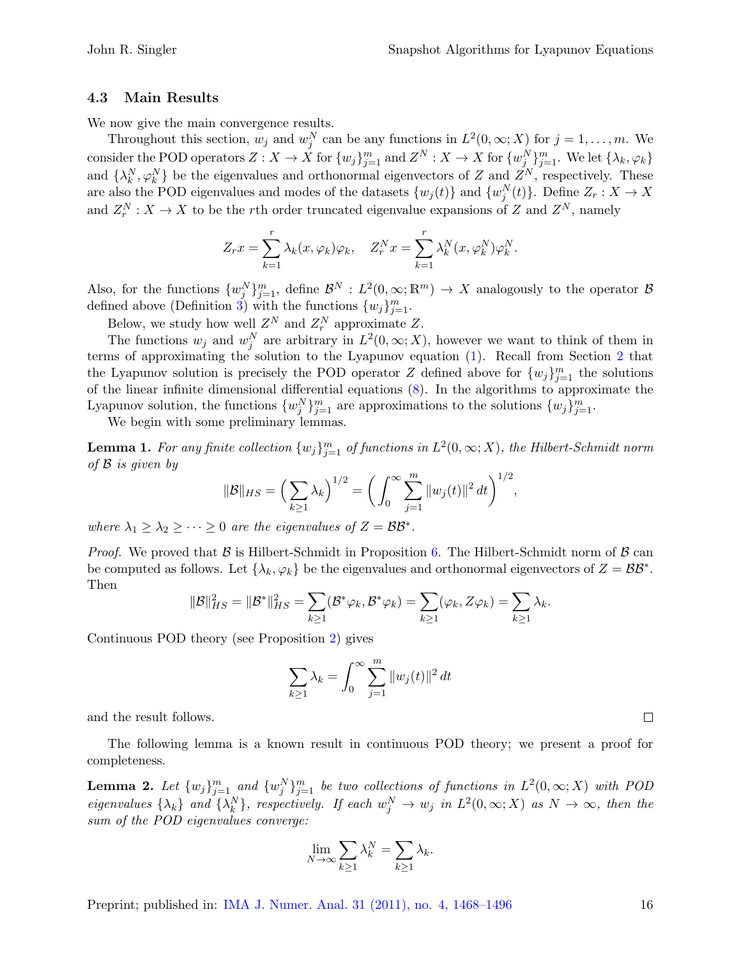#### 4.3 Main Results

We now give the main convergence results.

Throughout this section,  $w_j$  and  $w_j^N$  can be any functions in  $L^2(0,\infty;X)$  for  $j=1,\ldots,m$ . We consider the POD operators  $Z: X \to X$  for  $\{w_j\}_{j=1}^m$  and  $Z^N: X \to X$  for  $\{w_j^N\}_{j=1}^m$ . We let  $\{\lambda_k, \varphi_k\}$ and  $\{\lambda_k^N, \varphi_k^N\}$  be the eigenvalues and orthonormal eigenvectors of Z and  $Z^N$ , respectively. These are also the POD eigenvalues and modes of the datasets  $\{w_j(t)\}\$  and  $\{w_j^N(t)\}\$ . Define  $Z_r : X \to X$ and  $Z_r^N: X \to X$  to be the rth order truncated eigenvalue expansions of Z and  $Z^N$ , namely

$$
Z_r x = \sum_{k=1}^r \lambda_k(x, \varphi_k) \varphi_k, \quad Z_r^N x = \sum_{k=1}^r \lambda_k^N(x, \varphi_k^N) \varphi_k^N.
$$

Also, for the functions  $\{w_j^N\}_{j=1}^m$ , define  $\mathcal{B}^N: L^2(0,\infty;\mathbb{R}^m) \to X$  analogously to the operator  $\mathcal{B}$ defined above (Definition [3\)](#page-14-1) with the functions  $\{w_j\}_{j=1}^m$ .

Below, we study how well  $Z^N$  and  $Z_r^N$  approximate Z.

The functions  $w_j$  and  $w_j^N$  are arbitrary in  $L^2(0,\infty;X)$ , however we want to think of them in terms of approximating the solution to the Lyapunov equation [\(1\)](#page-1-0). Recall from Section [2](#page-4-1) that the Lyapunov solution is precisely the POD operator Z defined above for  $\{w_j\}_{j=1}^m$  the solutions of the linear infinite dimensional differential equations [\(8\)](#page-6-0). In the algorithms to approximate the Lyapunov solution, the functions  $\{w_j^N\}_{j=1}^m$  are approximations to the solutions  $\{w_j\}_{j=1}^m$ .

We begin with some preliminary lemmas.

<span id="page-16-0"></span>**Lemma 1.** For any finite collection  $\{w_j\}_{j=1}^m$  of functions in  $L^2(0,\infty;X)$ , the Hilbert-Schmidt norm of  $\mathcal B$  is given by

$$
\|\mathcal{B}\|_{HS} = \left(\sum_{k\geq 1} \lambda_k\right)^{1/2} = \left(\int_0^\infty \sum_{j=1}^m \|w_j(t)\|^2 dt\right)^{1/2},\,
$$

where  $\lambda_1 \geq \lambda_2 \geq \cdots \geq 0$  are the eigenvalues of  $Z = \mathcal{BB}^*$ .

*Proof.* We proved that  $\beta$  is Hilbert-Schmidt in Proposition [6.](#page-14-2) The Hilbert-Schmidt norm of  $\beta$  can be computed as follows. Let  $\{\lambda_k, \varphi_k\}$  be the eigenvalues and orthonormal eigenvectors of  $Z = \mathcal{BB}^*$ . Then

$$
\|\mathcal{B}\|_{HS}^2 = \|\mathcal{B}^*\|_{HS}^2 = \sum_{k\geq 1} (\mathcal{B}^*\varphi_k, \mathcal{B}^*\varphi_k) = \sum_{k\geq 1} (\varphi_k, Z\varphi_k) = \sum_{k\geq 1} \lambda_k.
$$

Continuous POD theory (see Proposition [2\)](#page-9-4) gives

$$
\sum_{k\geq 1} \lambda_k = \int_0^\infty \sum_{j=1}^m ||w_j(t)||^2 dt
$$

and the result follows.

The following lemma is a known result in continuous POD theory; we present a proof for completeness.

<span id="page-16-1"></span>**Lemma 2.** Let  $\{w_j\}_{j=1}^m$  and  $\{w_j^N\}_{j=1}^m$  be two collections of functions in  $L^2(0,\infty;X)$  with POD eigenvalues  $\{\lambda_k\}$  and  $\{\lambda_k^N\}$ , respectively. If each  $w_j^N \to w_j$  in  $L^2(0,\infty;X)$  as  $N \to \infty$ , then the sum of the POD eigenvalues converge:

$$
\lim_{N \to \infty} \sum_{k \ge 1} \lambda_k^N = \sum_{k \ge 1} \lambda_k.
$$

Preprint; published in: [IMA J. Numer. Anal. 31 \(2011\), no. 4, 1468–1496](http://dx.doi.org/10.1093/imanum/drq028) 16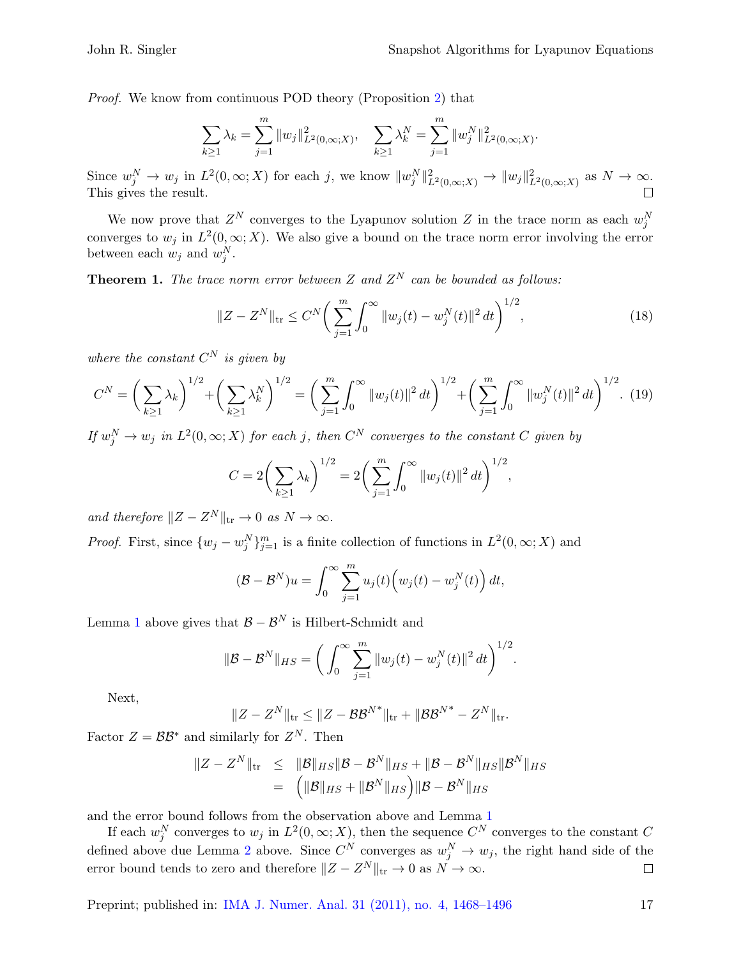Proof. We know from continuous POD theory (Proposition [2\)](#page-9-4) that

$$
\sum_{k\geq 1} \lambda_k = \sum_{j=1}^m \|w_j\|_{L^2(0,\infty;X)}^2, \quad \sum_{k\geq 1} \lambda_k^N = \sum_{j=1}^m \|w_j^N\|_{L^2(0,\infty;X)}^2.
$$

Since  $w_j^N \to w_j$  in  $L^2(0,\infty;X)$  for each j, we know  $||w_j^N||^2_{L^2(0,\infty;X)} \to ||w_j||^2_{L^2(0,\infty;X)}$  as  $N \to \infty$ . This gives the result.

We now prove that  $Z^N$  converges to the Lyapunov solution Z in the trace norm as each  $w_j^N$ converges to  $w_j$  in  $L^2(0,\infty;X)$ . We also give a bound on the trace norm error involving the error between each  $w_j$  and  $w_j^N$ .

<span id="page-17-0"></span>**Theorem 1.** The trace norm error between Z and  $Z^N$  can be bounded as follows:

$$
||Z - Z^N||_{\text{tr}} \le C^N \bigg( \sum_{j=1}^m \int_0^\infty ||w_j(t) - w_j^N(t)||^2 dt \bigg)^{1/2},\tag{18}
$$

where the constant  $C^N$  is given by

<span id="page-17-1"></span>
$$
C^{N} = \left(\sum_{k\geq 1} \lambda_k\right)^{1/2} + \left(\sum_{k\geq 1} \lambda_k^{N}\right)^{1/2} = \left(\sum_{j=1}^{m} \int_0^{\infty} \|w_j(t)\|^2 dt\right)^{1/2} + \left(\sum_{j=1}^{m} \int_0^{\infty} \|w_j^{N}(t)\|^2 dt\right)^{1/2}.
$$
 (19)

If  $w_j^N \to w_j$  in  $L^2(0,\infty;X)$  for each j, then  $C^N$  converges to the constant C given by

$$
C = 2\left(\sum_{k\geq 1} \lambda_k\right)^{1/2} = 2\left(\sum_{j=1}^m \int_0^\infty ||w_j(t)||^2 dt\right)^{1/2},
$$

and therefore  $||Z - Z^N||_{\text{tr}} \to 0$  as  $N \to \infty$ .

*Proof.* First, since  $\{w_j - w_j^N\}_{j=1}^m$  is a finite collection of functions in  $L^2(0, \infty; X)$  and

$$
(\mathcal{B} - \mathcal{B}^N)u = \int_0^\infty \sum_{j=1}^m u_j(t) \Big( w_j(t) - w_j^N(t) \Big) dt,
$$

Lemma [1](#page-16-0) above gives that  $\mathcal{B} - \mathcal{B}^N$  is Hilbert-Schmidt and

$$
\|\mathcal{B} - \mathcal{B}^N\|_{HS} = \bigg( \int_0^\infty \sum_{j=1}^m \|w_j(t) - w_j^N(t)\|^2 dt \bigg)^{1/2}.
$$

Next,

$$
||Z - Z^N||_{\text{tr}} \le ||Z - BB^{N^*}||_{\text{tr}} + ||BB^{N^*} - Z^N||_{\text{tr}}.
$$

Factor  $Z = \mathcal{BB}^*$  and similarly for  $Z^N$ . Then

$$
||Z - ZN||tr \le ||\mathcal{B}||_{HS} ||\mathcal{B} - \mathcal{B}N||HS + ||\mathcal{B} - \mathcal{B}N||HS ||\mathcal{B}N||HS
$$
  
= 
$$
(|\mathcal{B}||_{HS} + ||\mathcal{B}N||HS) ||\mathcal{B} - \mathcal{B}N||HS
$$

and the error bound follows from the observation above and Lemma [1](#page-16-0)

If each  $w_j^N$  converges to  $w_j$  in  $L^2(0,\infty;X)$ , then the sequence  $C^N$  converges to the constant  $C$ defined above due Lemma [2](#page-16-1) above. Since  $C^N$  converges as  $w_j^N \to w_j$ , the right hand side of the error bound tends to zero and therefore  $||Z - Z^N||_{\text{tr}} \to 0$  as  $N \to \infty$ .  $\Box$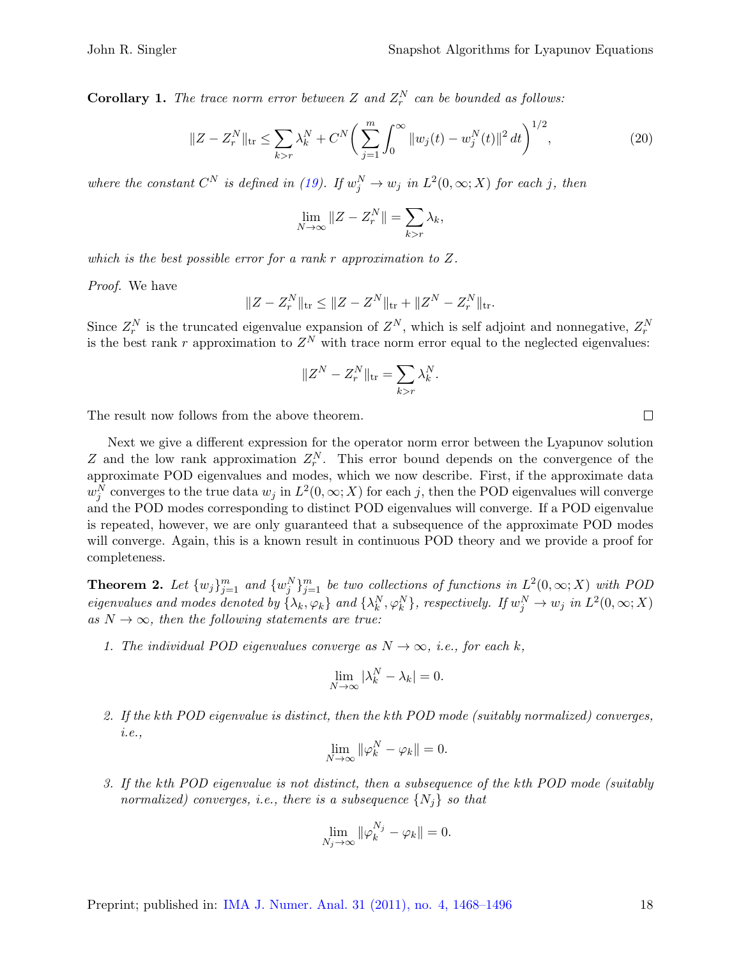<span id="page-18-0"></span>**Corollary 1.** The trace norm error between Z and  $Z_r^N$  can be bounded as follows:

$$
||Z - Z_r^N||_{\text{tr}} \le \sum_{k>r} \lambda_k^N + C^N \bigg( \sum_{j=1}^m \int_0^\infty ||w_j(t) - w_j^N(t)||^2 dt \bigg)^{1/2},\tag{20}
$$

where the constant  $C^N$  is defined in [\(19\)](#page-17-1). If  $w_j^N \to w_j$  in  $L^2(0,\infty;X)$  for each j, then

$$
\lim_{N \to \infty} \|Z - Z_r^N\| = \sum_{k > r} \lambda_k,
$$

which is the best possible error for a rank r approximation to  $Z$ .

Proof. We have

$$
||Z - Z_r^N||_{\text{tr}} \le ||Z - Z^N||_{\text{tr}} + ||Z^N - Z_r^N||_{\text{tr}}.
$$

Since  $Z_r^N$  is the truncated eigenvalue expansion of  $Z^N$ , which is self adjoint and nonnegative,  $Z_r^N$ is the best rank r approximation to  $Z^N$  with trace norm error equal to the neglected eigenvalues:

$$
||Z^N - Z_r^N||_{\text{tr}} = \sum_{k>r} \lambda_k^N.
$$

The result now follows from the above theorem.

Next we give a different expression for the operator norm error between the Lyapunov solution Z and the low rank approximation  $Z_r^N$ . This error bound depends on the convergence of the approximate POD eigenvalues and modes, which we now describe. First, if the approximate data  $w_j^N$  converges to the true data  $w_j$  in  $L^2(0,\infty;X)$  for each j, then the POD eigenvalues will converge and the POD modes corresponding to distinct POD eigenvalues will converge. If a POD eigenvalue is repeated, however, we are only guaranteed that a subsequence of the approximate POD modes will converge. Again, this is a known result in continuous POD theory and we provide a proof for completeness.

<span id="page-18-1"></span>**Theorem 2.** Let  $\{w_j\}_{j=1}^m$  and  $\{w_j^N\}_{j=1}^m$  be two collections of functions in  $L^2(0,\infty;X)$  with POD eigenvalues and modes denoted by  $\{\lambda_k, \varphi_k\}$  and  $\{\lambda_k^N, \varphi_k^N\}$ , respectively. If  $w_j^N \to w_j$  in  $L^2(0, \infty; X)$ as  $N \to \infty$ , then the following statements are true:

1. The individual POD eigenvalues converge as  $N \to \infty$ , i.e., for each k,

$$
\lim_{N \to \infty} |\lambda_k^N - \lambda_k| = 0.
$$

2. If the kth POD eigenvalue is distinct, then the kth POD mode (suitably normalized) converges, i.e.,

$$
\lim_{N \to \infty} \|\varphi_k^N - \varphi_k\| = 0.
$$

<span id="page-18-2"></span>3. If the kth POD eigenvalue is not distinct, then a subsequence of the kth POD mode (suitably normalized) converges, i.e., there is a subsequence  $\{N_i\}$  so that

$$
\lim_{N_j \to \infty} \|\varphi_k^{N_j} - \varphi_k\| = 0.
$$

Preprint; published in: [IMA J. Numer. Anal. 31 \(2011\), no. 4, 1468–1496](http://dx.doi.org/10.1093/imanum/drq028) 18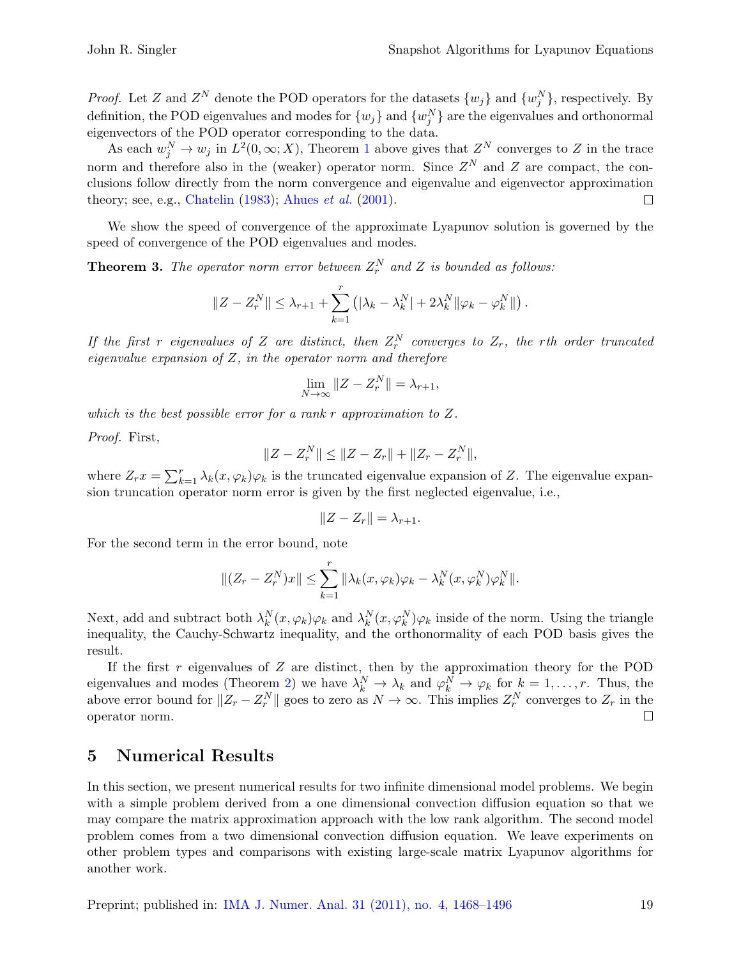*Proof.* Let Z and  $Z^N$  denote the POD operators for the datasets  $\{w_j\}$  and  $\{w_j^N\}$ , respectively. By definition, the POD eigenvalues and modes for  $\{w_j\}$  and  $\{w_j^N\}$  are the eigenvalues and orthonormal eigenvectors of the POD operator corresponding to the data.

As each  $w_j^N \to w_j$  in  $L^2(0,\infty;X)$ , Theorem [1](#page-17-0) above gives that  $Z^N$  converges to Z in the trace norm and therefore also in the (weaker) operator norm. Since  $Z^N$  and Z are compact, the conclusions follow directly from the norm convergence and eigenvalue and eigenvector approximation theory; see, e.g., [Chatelin](#page-27-14)  $(1983)$ ; [Ahues](#page-25-1) *et al.*  $(2001)$ .  $\Box$ 

We show the speed of convergence of the approximate Lyapunov solution is governed by the speed of convergence of the POD eigenvalues and modes.

<span id="page-19-1"></span>**Theorem 3.** The operator norm error between  $Z_r^N$  and Z is bounded as follows:

$$
||Z - Z_r^N|| \leq \lambda_{r+1} + \sum_{k=1}^r (|\lambda_k - \lambda_k^N| + 2\lambda_k^N ||\varphi_k - \varphi_k^N||).
$$

If the first r eigenvalues of Z are distinct, then  $Z_r^N$  converges to  $Z_r$ , the rth order truncated eigenvalue expansion of  $Z$ , in the operator norm and therefore

$$
\lim_{N \to \infty} \|Z - Z_r^N\| = \lambda_{r+1},
$$

which is the best possible error for a rank r approximation to  $Z$ .

Proof. First,

$$
||Z - Z_r^N|| \le ||Z - Z_r|| + ||Z_r - Z_r^N||,
$$

where  $Z_rx = \sum_{k=1}^r \lambda_k(x, \varphi_k)\varphi_k$  is the truncated eigenvalue expansion of Z. The eigenvalue expansion truncation operator norm error is given by the first neglected eigenvalue, i.e.,

$$
||Z - Z_r|| = \lambda_{r+1}.
$$

For the second term in the error bound, note

$$
||(Z_r - Z_r^N)x|| \le \sum_{k=1}^r ||\lambda_k(x, \varphi_k)\varphi_k - \lambda_k^N(x, \varphi_k^N)\varphi_k^N||.
$$

Next, add and subtract both  $\lambda_k^N(x,\varphi_k)\varphi_k$  and  $\lambda_k^N(x,\varphi_k^N)\varphi_k$  inside of the norm. Using the triangle inequality, the Cauchy-Schwartz inequality, and the orthonormality of each POD basis gives the result.

If the first  $r$  eigenvalues of  $Z$  are distinct, then by the approximation theory for the POD eigenvalues and modes (Theorem [2\)](#page-18-1) we have  $\lambda_k^N \to \lambda_k$  and  $\varphi_k^N \to \varphi_k$  for  $k = 1, \ldots, r$ . Thus, the above error bound for  $||Z_r - Z_r^N||$  goes to zero as  $N \to \infty$ . This implies  $Z_r^N$  converges to  $Z_r$  in the operator norm.  $\Box$ 

### <span id="page-19-0"></span>5 Numerical Results

In this section, we present numerical results for two infinite dimensional model problems. We begin with a simple problem derived from a one dimensional convection diffusion equation so that we may compare the matrix approximation approach with the low rank algorithm. The second model problem comes from a two dimensional convection diffusion equation. We leave experiments on other problem types and comparisons with existing large-scale matrix Lyapunov algorithms for another work.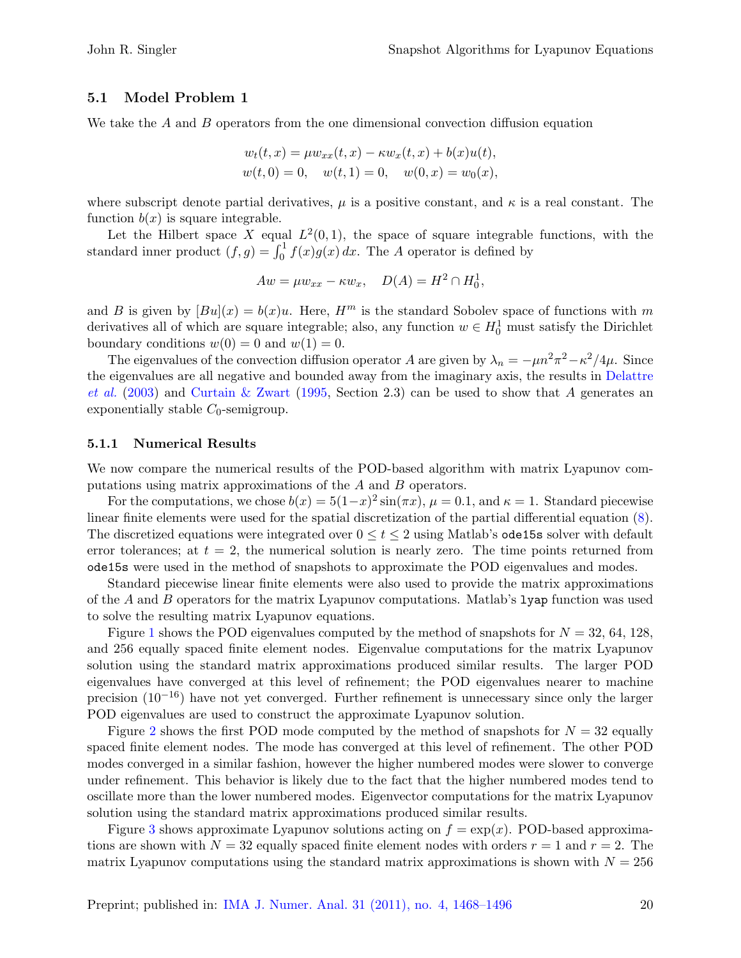#### <span id="page-20-0"></span>5.1 Model Problem 1

We take the  $A$  and  $B$  operators from the one dimensional convection diffusion equation

$$
w_t(t, x) = \mu w_{xx}(t, x) - \kappa w_x(t, x) + b(x)u(t),
$$
  

$$
w(t, 0) = 0, \quad w(t, 1) = 0, \quad w(0, x) = w_0(x),
$$

where subscript denote partial derivatives,  $\mu$  is a positive constant, and  $\kappa$  is a real constant. The function  $b(x)$  is square integrable.

Let the Hilbert space X equal  $L^2(0,1)$ , the space of square integrable functions, with the standard inner product  $(f, g) = \int_0^1 f(x)g(x) dx$ . The A operator is defined by

$$
Aw = \mu w_{xx} - \kappa w_x, \quad D(A) = H^2 \cap H_0^1,
$$

and B is given by  $Bu(x) = b(x)u$ . Here,  $H<sup>m</sup>$  is the standard Sobolev space of functions with m derivatives all of which are square integrable; also, any function  $w \in H_0^1$  must satisfy the Dirichlet boundary conditions  $w(0) = 0$  and  $w(1) = 0$ .

The eigenvalues of the convection diffusion operator A are given by  $\lambda_n = -\mu n^2 \pi^2 - \kappa^2/4\mu$ . Since the eigenvalues are all negative and bounded away from the imaginary axis, the results in [Delattre](#page-27-15) [et al.](#page-27-15) [\(2003\)](#page-27-15) and [Curtain & Zwart](#page-27-10) [\(1995,](#page-27-10) Section 2.3) can be used to show that A generates an exponentially stable  $C_0$ -semigroup.

#### 5.1.1 Numerical Results

We now compare the numerical results of the POD-based algorithm with matrix Lyapunov computations using matrix approximations of the A and B operators.

For the computations, we chose  $b(x) = 5(1-x)^2 \sin(\pi x)$ ,  $\mu = 0.1$ , and  $\kappa = 1$ . Standard piecewise linear finite elements were used for the spatial discretization of the partial differential equation [\(8\)](#page-6-0). The discretized equations were integrated over  $0 \le t \le 2$  using Matlab's **ode15s** solver with default error tolerances; at  $t = 2$ , the numerical solution is nearly zero. The time points returned from ode15s were used in the method of snapshots to approximate the POD eigenvalues and modes.

Standard piecewise linear finite elements were also used to provide the matrix approximations of the A and B operators for the matrix Lyapunov computations. Matlab's  $\log p$  function was used to solve the resulting matrix Lyapunov equations.

Figure [1](#page-21-0) shows the POD eigenvalues computed by the method of snapshots for  $N = 32, 64, 128$ , and 256 equally spaced finite element nodes. Eigenvalue computations for the matrix Lyapunov solution using the standard matrix approximations produced similar results. The larger POD eigenvalues have converged at this level of refinement; the POD eigenvalues nearer to machine precision  $(10^{-16})$  have not yet converged. Further refinement is unnecessary since only the larger POD eigenvalues are used to construct the approximate Lyapunov solution.

Figure [2](#page-21-1) shows the first POD mode computed by the method of snapshots for  $N = 32$  equally spaced finite element nodes. The mode has converged at this level of refinement. The other POD modes converged in a similar fashion, however the higher numbered modes were slower to converge under refinement. This behavior is likely due to the fact that the higher numbered modes tend to oscillate more than the lower numbered modes. Eigenvector computations for the matrix Lyapunov solution using the standard matrix approximations produced similar results.

Figure [3](#page-22-1) shows approximate Lyapunov solutions acting on  $f = \exp(x)$ . POD-based approximations are shown with  $N = 32$  equally spaced finite element nodes with orders  $r = 1$  and  $r = 2$ . The matrix Lyapunov computations using the standard matrix approximations is shown with  $N = 256$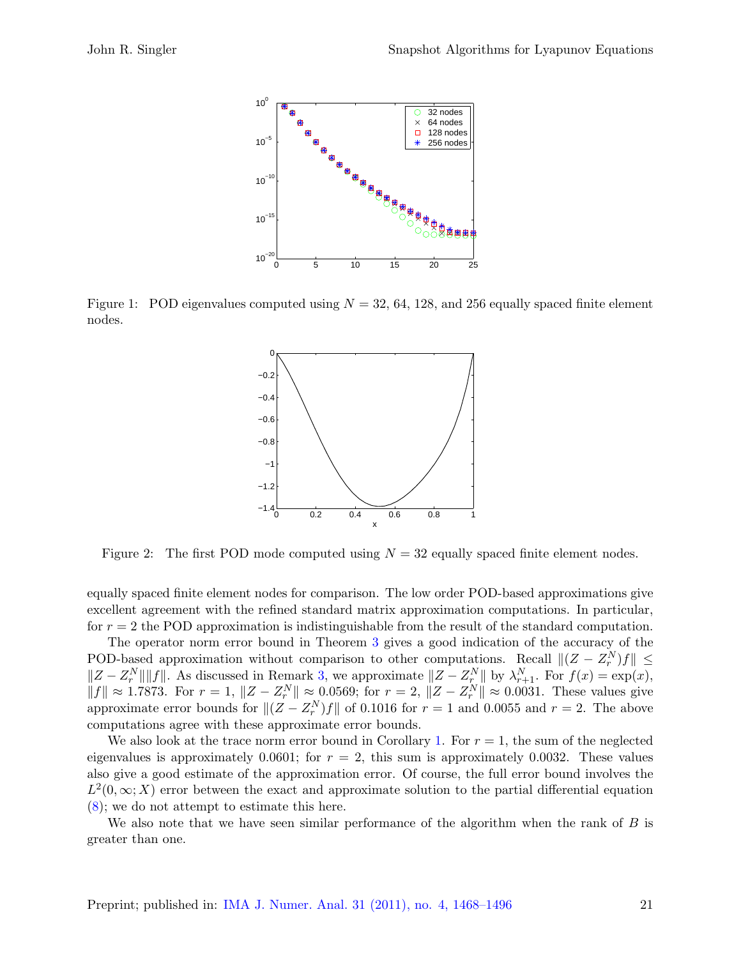

<span id="page-21-0"></span>Figure 1: POD eigenvalues computed using  $N = 32, 64, 128,$  and 256 equally spaced finite element nodes.



<span id="page-21-1"></span>Figure 2: The first POD mode computed using  $N = 32$  equally spaced finite element nodes.

equally spaced finite element nodes for comparison. The low order POD-based approximations give excellent agreement with the refined standard matrix approximation computations. In particular, for  $r = 2$  the POD approximation is indistinguishable from the result of the standard computation.

The operator norm error bound in Theorem [3](#page-19-1) gives a good indication of the accuracy of the POD-based approximation without comparison to other computations. Recall  $\|(Z - Z_r^N)f\|$  $||Z - Z_r^N|| ||f||.$  As discussed in Remark [3,](#page-8-0) we approximate  $||Z - Z_r^N||$  by  $\lambda_{r+1}^N$ . For  $f(x) = \exp(x)$ ,  $||f|| \approx 1.7873$ . For  $r = 1$ ,  $||Z - Z_r^N|| \approx 0.0569$ ; for  $r = 2$ ,  $||Z - Z_r^N|| \approx 0.0031$ . These values give approximate error bounds for  $\|(Z - Z_r^N)f\|$  of 0.1016 for  $r = 1$  and 0.0055 and  $r = 2$ . The above computations agree with these approximate error bounds.

We also look at the trace norm error bound in Corollary [1.](#page-18-0) For  $r = 1$ , the sum of the neglected eigenvalues is approximately 0.0601; for  $r = 2$ , this sum is approximately 0.0032. These values also give a good estimate of the approximation error. Of course, the full error bound involves the  $L^2(0,\infty;X)$  error between the exact and approximate solution to the partial differential equation [\(8\)](#page-6-0); we do not attempt to estimate this here.

We also note that we have seen similar performance of the algorithm when the rank of  $B$  is greater than one.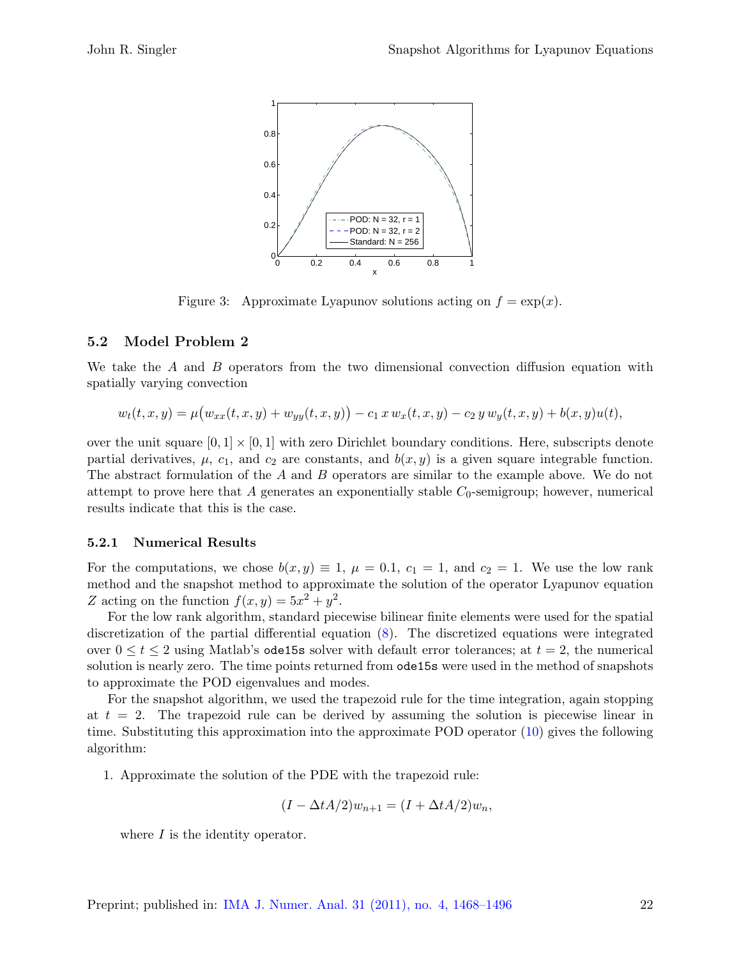

<span id="page-22-1"></span>Figure 3: Approximate Lyapunov solutions acting on  $f = \exp(x)$ .

#### <span id="page-22-0"></span>5.2 Model Problem 2

We take the A and B operators from the two dimensional convection diffusion equation with spatially varying convection

$$
w_t(t, x, y) = \mu(w_{xx}(t, x, y) + w_{yy}(t, x, y)) - c_1 x w_x(t, x, y) - c_2 y w_y(t, x, y) + b(x, y)u(t),
$$

over the unit square  $[0, 1] \times [0, 1]$  with zero Dirichlet boundary conditions. Here, subscripts denote partial derivatives,  $\mu$ ,  $c_1$ , and  $c_2$  are constants, and  $b(x, y)$  is a given square integrable function. The abstract formulation of the A and B operators are similar to the example above. We do not attempt to prove here that A generates an exponentially stable  $C_0$ -semigroup; however, numerical results indicate that this is the case.

#### 5.2.1 Numerical Results

For the computations, we chose  $b(x, y) \equiv 1$ ,  $\mu = 0.1$ ,  $c_1 = 1$ , and  $c_2 = 1$ . We use the low rank method and the snapshot method to approximate the solution of the operator Lyapunov equation Z acting on the function  $f(x, y) = 5x^2 + y^2$ .

For the low rank algorithm, standard piecewise bilinear finite elements were used for the spatial discretization of the partial differential equation [\(8\)](#page-6-0). The discretized equations were integrated over  $0 \le t \le 2$  using Matlab's ode15s solver with default error tolerances; at  $t = 2$ , the numerical solution is nearly zero. The time points returned from ode15s were used in the method of snapshots to approximate the POD eigenvalues and modes.

For the snapshot algorithm, we used the trapezoid rule for the time integration, again stopping at  $t = 2$ . The trapezoid rule can be derived by assuming the solution is piecewise linear in time. Substituting this approximation into the approximate POD operator [\(10\)](#page-7-1) gives the following algorithm:

1. Approximate the solution of the PDE with the trapezoid rule:

$$
(I - \Delta t A/2)w_{n+1} = (I + \Delta t A/2)w_n,
$$

where  $I$  is the identity operator.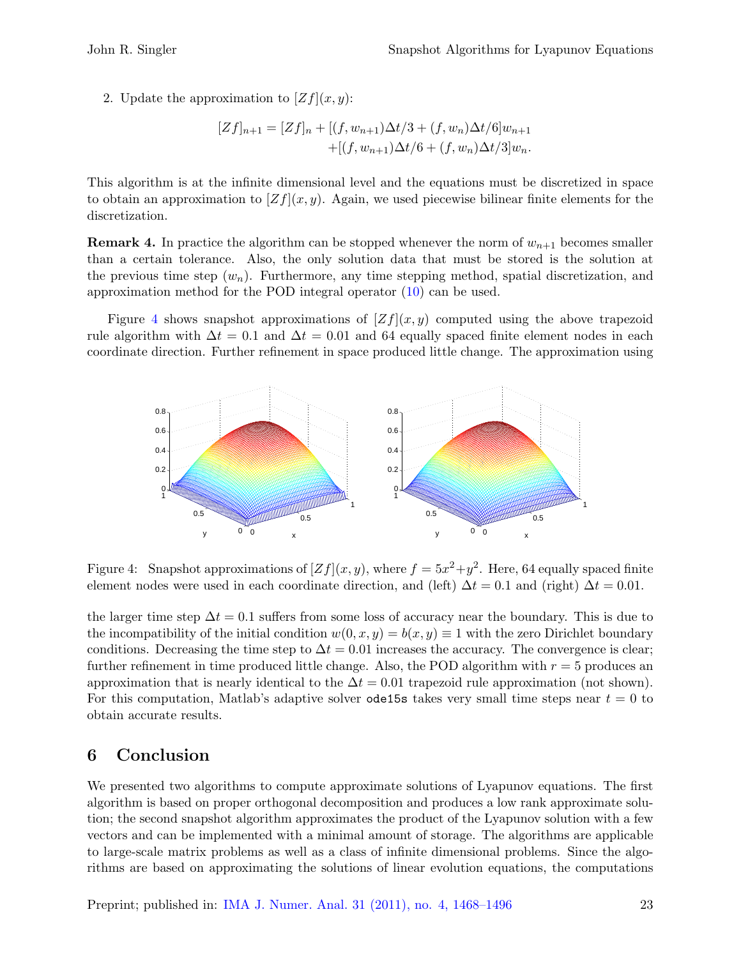2. Update the approximation to  $[Zf](x, y)$ :

$$
[Zf]_{n+1} = [Zf]_n + [(f, w_{n+1})\Delta t/3 + (f, w_n)\Delta t/6]w_{n+1} + [(f, w_{n+1})\Delta t/6 + (f, w_n)\Delta t/3]w_n.
$$

This algorithm is at the infinite dimensional level and the equations must be discretized in space to obtain an approximation to  $[Zf](x, y)$ . Again, we used piecewise bilinear finite elements for the discretization.

**Remark 4.** In practice the algorithm can be stopped whenever the norm of  $w_{n+1}$  becomes smaller than a certain tolerance. Also, the only solution data that must be stored is the solution at the previous time step  $(w_n)$ . Furthermore, any time stepping method, spatial discretization, and approximation method for the POD integral operator [\(10\)](#page-7-1) can be used.

Figure [4](#page-23-0) shows snapshot approximations of  $\left[ Zf \right](x, y)$  computed using the above trapezoid rule algorithm with  $\Delta t = 0.1$  and  $\Delta t = 0.01$  and 64 equally spaced finite element nodes in each coordinate direction. Further refinement in space produced little change. The approximation using



<span id="page-23-0"></span>Figure 4: Snapshot approximations of  $[Zf](x, y)$ , where  $f = 5x^2 + y^2$ . Here, 64 equally spaced finite element nodes were used in each coordinate direction, and (left)  $\Delta t = 0.1$  and (right)  $\Delta t = 0.01$ .

the larger time step  $\Delta t = 0.1$  suffers from some loss of accuracy near the boundary. This is due to the incompatibility of the initial condition  $w(0, x, y) = b(x, y) \equiv 1$  with the zero Dirichlet boundary conditions. Decreasing the time step to  $\Delta t = 0.01$  increases the accuracy. The convergence is clear; further refinement in time produced little change. Also, the POD algorithm with  $r = 5$  produces an approximation that is nearly identical to the  $\Delta t = 0.01$  trapezoid rule approximation (not shown). For this computation, Matlab's adaptive solver ode15s takes very small time steps near  $t = 0$  to obtain accurate results.

### <span id="page-23-1"></span>6 Conclusion

We presented two algorithms to compute approximate solutions of Lyapunov equations. The first algorithm is based on proper orthogonal decomposition and produces a low rank approximate solution; the second snapshot algorithm approximates the product of the Lyapunov solution with a few vectors and can be implemented with a minimal amount of storage. The algorithms are applicable to large-scale matrix problems as well as a class of infinite dimensional problems. Since the algorithms are based on approximating the solutions of linear evolution equations, the computations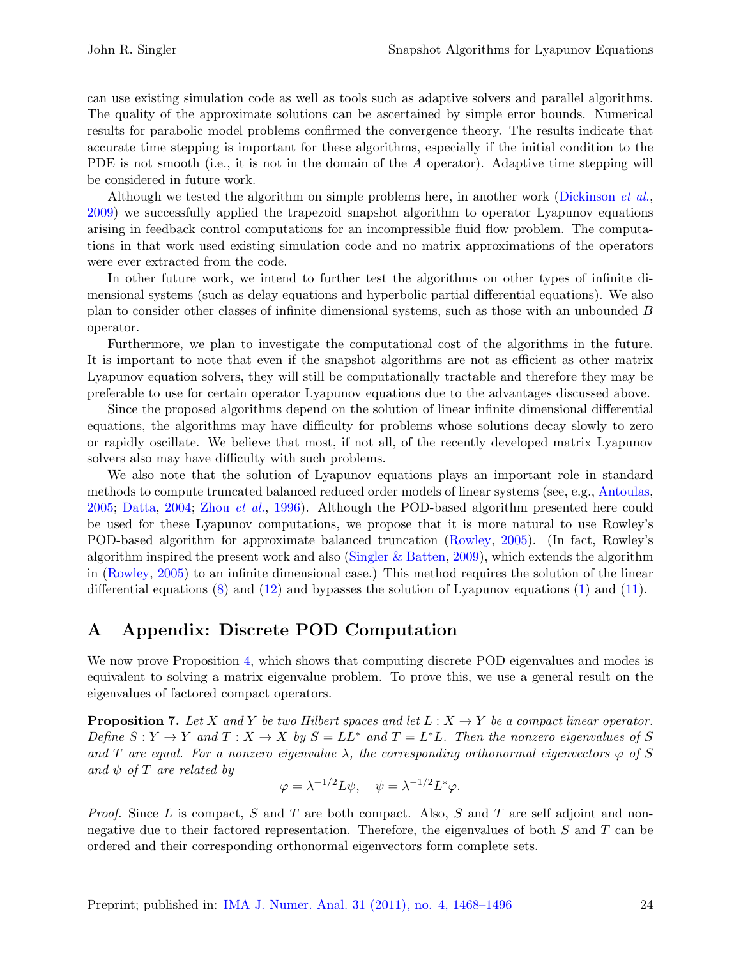can use existing simulation code as well as tools such as adaptive solvers and parallel algorithms. The quality of the approximate solutions can be ascertained by simple error bounds. Numerical results for parabolic model problems confirmed the convergence theory. The results indicate that accurate time stepping is important for these algorithms, especially if the initial condition to the PDE is not smooth (i.e., it is not in the domain of the A operator). Adaptive time stepping will be considered in future work.

Although we tested the algorithm on simple problems here, in another work [\(Dickinson](#page-27-16) *et al.*, [2009\)](#page-27-16) we successfully applied the trapezoid snapshot algorithm to operator Lyapunov equations arising in feedback control computations for an incompressible fluid flow problem. The computations in that work used existing simulation code and no matrix approximations of the operators were ever extracted from the code.

In other future work, we intend to further test the algorithms on other types of infinite dimensional systems (such as delay equations and hyperbolic partial differential equations). We also plan to consider other classes of infinite dimensional systems, such as those with an unbounded B operator.

Furthermore, we plan to investigate the computational cost of the algorithms in the future. It is important to note that even if the snapshot algorithms are not as efficient as other matrix Lyapunov equation solvers, they will still be computationally tractable and therefore they may be preferable to use for certain operator Lyapunov equations due to the advantages discussed above.

Since the proposed algorithms depend on the solution of linear infinite dimensional differential equations, the algorithms may have difficulty for problems whose solutions decay slowly to zero or rapidly oscillate. We believe that most, if not all, of the recently developed matrix Lyapunov solvers also may have difficulty with such problems.

We also note that the solution of Lyapunov equations plays an important role in standard methods to compute truncated balanced reduced order models of linear systems (see, e.g., [Antoulas,](#page-26-0) [2005;](#page-26-0) [Datta,](#page-27-0) [2004;](#page-27-0) Zhou [et al.](#page-29-0), [1996\)](#page-29-0). Although the POD-based algorithm presented here could be used for these Lyapunov computations, we propose that it is more natural to use Rowley's POD-based algorithm for approximate balanced truncation [\(Rowley,](#page-28-16) [2005\)](#page-28-16). (In fact, Rowley's algorithm inspired the present work and also [\(Singler & Batten,](#page-29-8) [2009\)](#page-29-8), which extends the algorithm in [\(Rowley,](#page-28-16) [2005\)](#page-28-16) to an infinite dimensional case.) This method requires the solution of the linear differential equations  $(8)$  and  $(12)$  and bypasses the solution of Lyapunov equations  $(1)$  and  $(11)$ .

### <span id="page-24-0"></span>A Appendix: Discrete POD Computation

We now prove Proposition [4,](#page-11-0) which shows that computing discrete POD eigenvalues and modes is equivalent to solving a matrix eigenvalue problem. To prove this, we use a general result on the eigenvalues of factored compact operators.

<span id="page-24-1"></span>**Proposition 7.** Let X and Y be two Hilbert spaces and let  $L: X \rightarrow Y$  be a compact linear operator. Define  $S: Y \to Y$  and  $T: X \to X$  by  $S = LL^*$  and  $T = L^*L$ . Then the nonzero eigenvalues of S and T are equal. For a nonzero eigenvalue  $\lambda$ , the corresponding orthonormal eigenvectors  $\varphi$  of S and  $\psi$  of T are related by

$$
\varphi = \lambda^{-1/2} L \psi, \quad \psi = \lambda^{-1/2} L^* \varphi.
$$

*Proof.* Since L is compact, S and T are both compact. Also, S and T are self adjoint and nonnegative due to their factored representation. Therefore, the eigenvalues of both  $S$  and  $T$  can be ordered and their corresponding orthonormal eigenvectors form complete sets.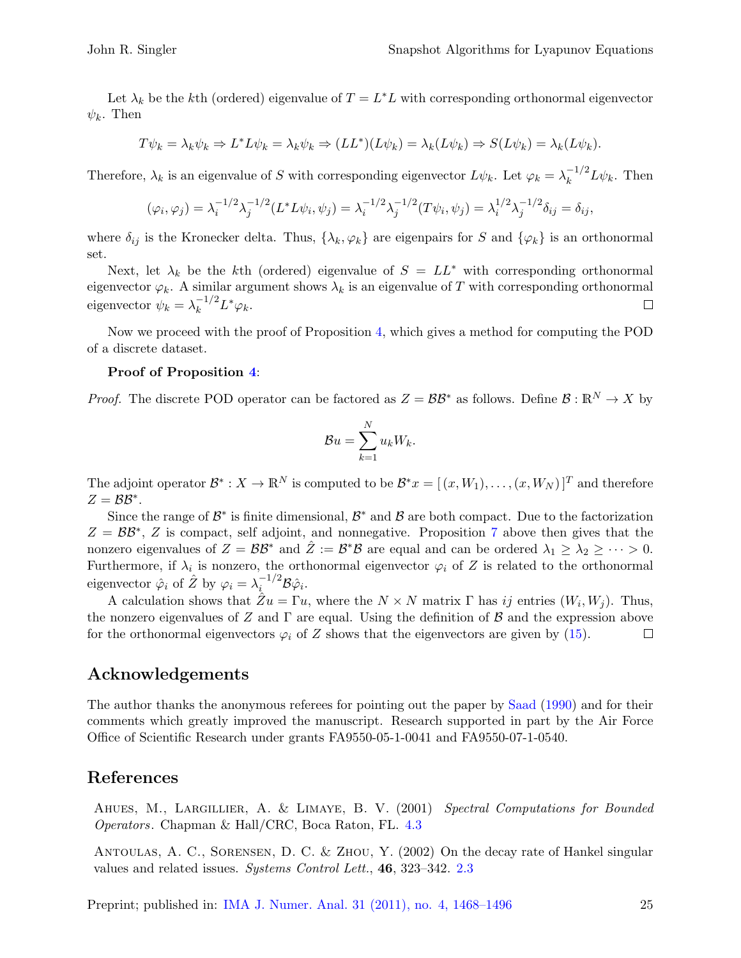Let  $\lambda_k$  be the k<sup>th</sup> (ordered) eigenvalue of  $T = L^*L$  with corresponding orthonormal eigenvector  $\psi_k$ . Then

$$
T\psi_k = \lambda_k \psi_k \Rightarrow L^* L \psi_k = \lambda_k \psi_k \Rightarrow (LL^*)(L\psi_k) = \lambda_k (L\psi_k) \Rightarrow S(L\psi_k) = \lambda_k (L\psi_k).
$$

Therefore,  $\lambda_k$  is an eigenvalue of S with corresponding eigenvector  $L\psi_k$ . Let  $\varphi_k = \lambda_k^{-1/2} L\psi_k$ . Then

$$
(\varphi_i, \varphi_j) = \lambda_i^{-1/2} \lambda_j^{-1/2} (L^* L \psi_i, \psi_j) = \lambda_i^{-1/2} \lambda_j^{-1/2} (T \psi_i, \psi_j) = \lambda_i^{1/2} \lambda_j^{-1/2} \delta_{ij} = \delta_{ij},
$$

where  $\delta_{ij}$  is the Kronecker delta. Thus,  $\{\lambda_k, \varphi_k\}$  are eigenpairs for S and  $\{\varphi_k\}$  is an orthonormal set.

Next, let  $\lambda_k$  be the kth (ordered) eigenvalue of  $S = LL^*$  with corresponding orthonormal eigenvector  $\varphi_k$ . A similar argument shows  $\lambda_k$  is an eigenvalue of T with corresponding orthonormal eigenvector  $\psi_k = \lambda_k^{-1/2} L^* \varphi_k$ .  $\Box$ 

Now we proceed with the proof of Proposition [4,](#page-11-0) which gives a method for computing the POD of a discrete dataset.

#### Proof of Proposition [4](#page-11-0):

*Proof.* The discrete POD operator can be factored as  $Z = \mathcal{BB}^*$  as follows. Define  $\mathcal{B}: \mathbb{R}^N \to X$  by

$$
\mathcal{B}u = \sum_{k=1}^{N} u_k W_k.
$$

The adjoint operator  $\mathcal{B}^*: X \to \mathbb{R}^N$  is computed to be  $\mathcal{B}^*x = [(x, W_1), \dots, (x, W_N)]^T$  and therefore  $Z = \mathcal{B}\mathcal{B}^*$ .

Since the range of  $\mathcal{B}^*$  is finite dimensional,  $\mathcal{B}^*$  and  $\mathcal{B}$  are both compact. Due to the factorization  $Z = \mathcal{BB}^*$ , Z is compact, self adjoint, and nonnegative. Proposition [7](#page-24-1) above then gives that the nonzero eigenvalues of  $Z = \mathcal{BB}^*$  and  $\hat{Z} := \mathcal{B}^* \mathcal{B}$  are equal and can be ordered  $\lambda_1 \geq \lambda_2 \geq \cdots > 0$ . Furthermore, if  $\lambda_i$  is nonzero, the orthonormal eigenvector  $\varphi_i$  of Z is related to the orthonormal eigenvector  $\hat{\varphi}_i$  of  $\hat{Z}$  by  $\varphi_i = \lambda_i^{-1/2} \mathcal{B} \hat{\varphi}_i$ .

A calculation shows that  $\hat{Z}u = \Gamma u$ , where the  $N \times N$  matrix  $\Gamma$  has ij entries  $(W_i, W_j)$ . Thus, the nonzero eigenvalues of Z and  $\Gamma$  are equal. Using the definition of B and the expression above for the orthonormal eigenvectors  $\varphi_i$  of Z shows that the eigenvectors are given by [\(15\)](#page-12-2).  $\Box$ 

### <span id="page-25-2"></span>Acknowledgements

The author thanks the anonymous referees for pointing out the paper by [Saad](#page-29-3) [\(1990\)](#page-29-3) and for their comments which greatly improved the manuscript. Research supported in part by the Air Force Office of Scientific Research under grants FA9550-05-1-0041 and FA9550-07-1-0540.

### References

<span id="page-25-1"></span>AHUES, M., LARGILLIER, A. & LIMAYE, B. V. (2001) Spectral Computations for Bounded Operators. Chapman & Hall/CRC, Boca Raton, FL. [4.3](#page-18-2)

<span id="page-25-0"></span>Antoulas, A. C., Sorensen, D. C. & Zhou, Y. (2002) On the decay rate of Hankel singular values and related issues. Systems Control Lett., 46, 323–342. [2.3](#page-7-0)

Preprint; published in: [IMA J. Numer. Anal. 31 \(2011\), no. 4, 1468–1496](http://dx.doi.org/10.1093/imanum/drq028) 25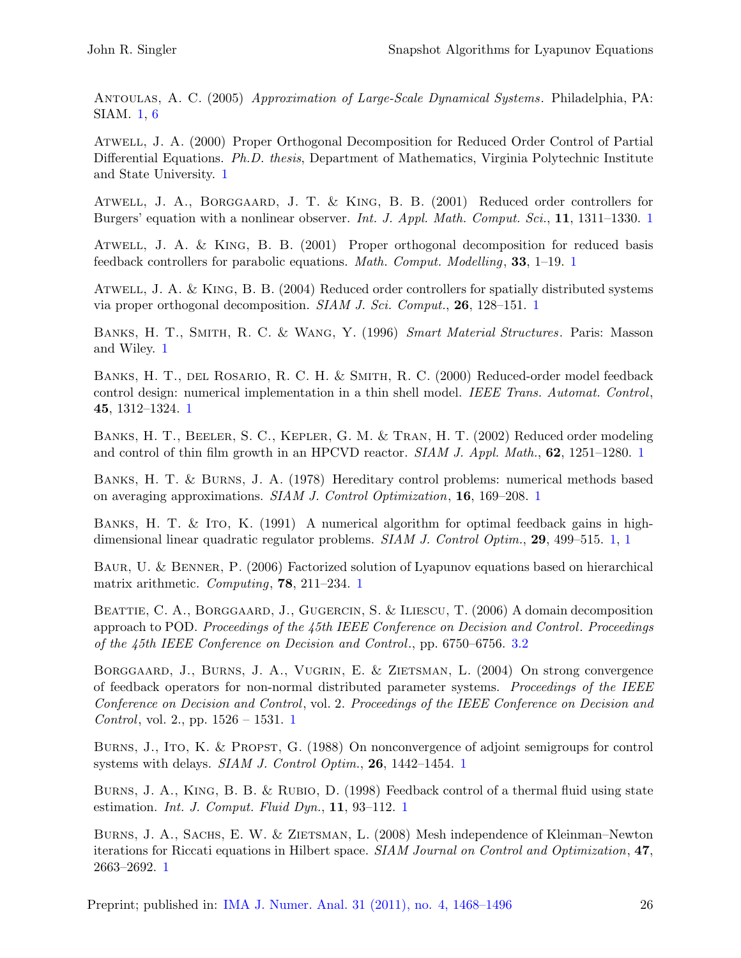<span id="page-26-0"></span>Antoulas, A. C. (2005) Approximation of Large-Scale Dynamical Systems. Philadelphia, PA: SIAM. [1,](#page-1-0) [6](#page-23-1)

<span id="page-26-9"></span>Atwell, J. A. (2000) Proper Orthogonal Decomposition for Reduced Order Control of Partial Differential Equations. *Ph.D. thesis*, Department of Mathematics, Virginia Polytechnic Institute and State University. [1](#page-2-2)

<span id="page-26-10"></span>Atwell, J. A., Borggaard, J. T. & King, B. B. (2001) Reduced order controllers for Burgers' equation with a nonlinear observer. Int. J. Appl. Math. Comput. Sci., [1](#page-2-2)1, 1311–1330. 1

<span id="page-26-11"></span>Atwell, J. A. & King, B. B. (2001) Proper orthogonal decomposition for reduced basis feedback controllers for parabolic equations. Math. Comput. Modelling, 33, 1–19. [1](#page-2-2)

<span id="page-26-12"></span>Atwell, J. A. & King, B. B. (2004) Reduced order controllers for spatially distributed systems via proper orthogonal decomposition. SIAM J. Sci. Comput., 26, [1](#page-2-2)28-151. 1

<span id="page-26-5"></span>BANKS, H. T., SMITH, R. C. & WANG, Y. (1996) Smart Material Structures. Paris: Masson and Wiley. [1](#page-2-2)

<span id="page-26-14"></span>Banks, H. T., del Rosario, R. C. H. & Smith, R. C. (2000) Reduced-order model feedback control design: numerical implementation in a thin shell model. IEEE Trans. Automat. Control, 45, 1312–1324. [1](#page-2-2)

<span id="page-26-13"></span>Banks, H. T., Beeler, S. C., Kepler, G. M. & Tran, H. T. (2002) Reduced order modeling and control of thin film growth in an HPCVD reactor. SIAM J. Appl. Math., 62, 1251–1280. [1](#page-2-2)

<span id="page-26-4"></span>Banks, H. T. & Burns, J. A. (1978) Hereditary control problems: numerical methods based on averaging approximations. SIAM J. Control Optimization, 16, 169–208. [1](#page-2-2)

<span id="page-26-1"></span>BANKS, H. T.  $\&$  ITO, K. (1991) A numerical algorithm for optimal feedback gains in highdimensional linear quadratic regulator problems. *SIAM J. Control Optim.*, **29**, 499–515. [1,](#page-1-0) [1](#page-2-2)

<span id="page-26-3"></span>Baur, U. & Benner, P. (2006) Factorized solution of Lyapunov equations based on hierarchical matrix arithmetic. Computing, 78, 211–234. [1](#page-1-0)

<span id="page-26-15"></span>BEATTIE, C. A., BORGGAARD, J., GUGERCIN, S. & ILIESCU, T. (2006) A domain decomposition approach to POD. Proceedings of the 45th IEEE Conference on Decision and Control. Proceedings of the 45th IEEE Conference on Decision and Control., pp. 6750–6756. [3.2](#page-10-0)

<span id="page-26-8"></span>Borggaard, J., Burns, J. A., Vugrin, E. & Zietsman, L. (2004) On strong convergence of feedback operators for non-normal distributed parameter systems. Proceedings of the IEEE Conference on Decision and Control, vol. 2. Proceedings of the IEEE Conference on Decision and Control, vol. 2., pp. 1526 – 1531. [1](#page-2-2)

<span id="page-26-7"></span>Burns, J., Ito, K. & Propst, G. (1988) On nonconvergence of adjoint semigroups for control systems with delays. SIAM J. Control Optim., 26, [1](#page-2-2)442–1454. 1

<span id="page-26-6"></span>Burns, J. A., King, B. B. & Rubio, D. (1998) Feedback control of a thermal fluid using state estimation. *Int. J. Comput. Fluid Dyn.*,  $11, 93-112$  $11, 93-112$ . 1

<span id="page-26-2"></span>Burns, J. A., Sachs, E. W. & Zietsman, L. (2008) Mesh independence of Kleinman–Newton iterations for Riccati equations in Hilbert space. SIAM Journal on Control and Optimization, 47, 2663–2692. [1](#page-1-0)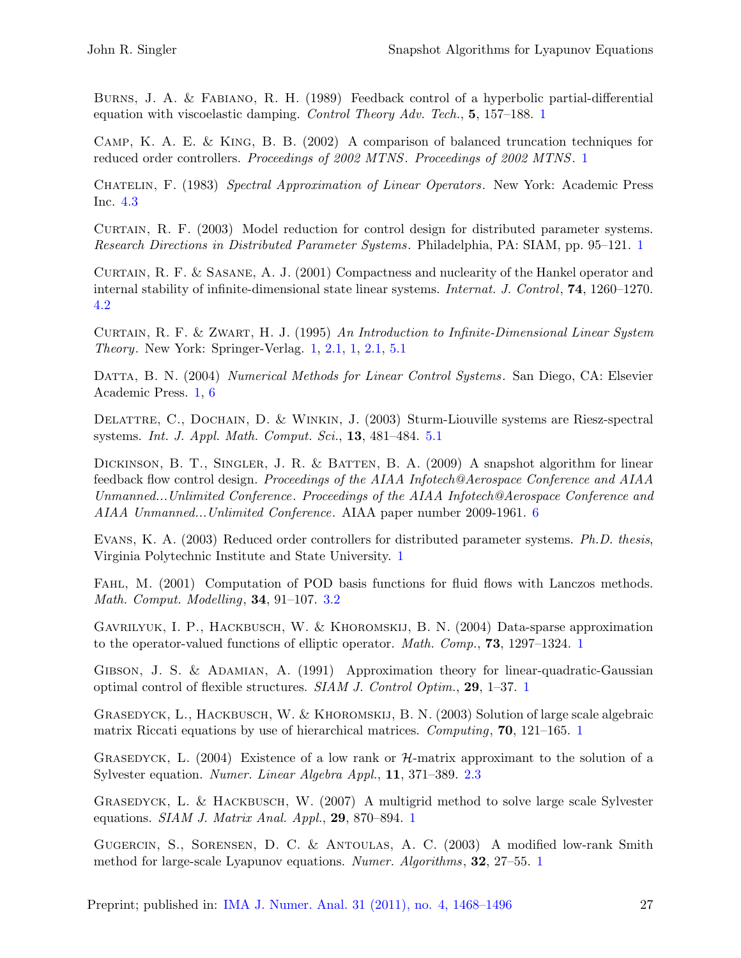<span id="page-27-5"></span>Burns, J. A. & Fabiano, R. H. (1989) Feedback control of a hyperbolic partial-differential equation with viscoelastic damping. Control Theory Adv. Tech., 5, 157–188. [1](#page-2-2)

<span id="page-27-6"></span>Camp, K. A. E. & King, B. B. (2002) A comparison of balanced truncation techniques for reduced order controllers. Proceedings of 2002 MTNS. Proceedings of 2002 MTNS. [1](#page-2-2)

<span id="page-27-14"></span>CHATELIN, F. (1983) Spectral Approximation of Linear Operators. New York: Academic Press Inc. [4.3](#page-18-2)

<span id="page-27-9"></span>Curtain, R. F. (2003) Model reduction for control design for distributed parameter systems. Research Directions in Distributed Parameter Systems. Philadelphia, PA: SIAM, pp. 95–121. [1](#page-2-2)

<span id="page-27-13"></span>Curtain, R. F. & Sasane, A. J. (2001) Compactness and nuclearity of the Hankel operator and internal stability of infinite-dimensional state linear systems. Internat. J. Control, 74, 1260–1270. [4.2](#page-14-2)

<span id="page-27-10"></span>Curtain, R. F. & Zwart, H. J. (1995) An Introduction to Infinite-Dimensional Linear System Theory. New York: Springer-Verlag. [1,](#page-4-0) [2.1,](#page-4-2) [1,](#page-5-3) [2.1,](#page-5-3) [5.1](#page-20-0)

<span id="page-27-0"></span>DATTA, B. N. (2004) Numerical Methods for Linear Control Systems. San Diego, CA: Elsevier Academic Press. [1,](#page-1-0) [6](#page-23-1)

<span id="page-27-15"></span>Delattre, C., Dochain, D. & Winkin, J. (2003) Sturm-Liouville systems are Riesz-spectral systems. Int. J. Appl. Math. Comput. Sci., 13, 481–484. [5.1](#page-20-0)

<span id="page-27-16"></span>DICKINSON, B. T., SINGLER, J. R. & BATTEN, B. A. (2009) A snapshot algorithm for linear feedback flow control design. Proceedings of the AIAA Infotech@Aerospace Conference and AIAA Unmanned...Unlimited Conference. Proceedings of the AIAA Infotech@Aerospace Conference and AIAA Unmanned...Unlimited Conference. AIAA paper number 2009-1961. [6](#page-23-1)

<span id="page-27-7"></span>Evans, K. A. (2003) Reduced order controllers for distributed parameter systems. Ph.D. thesis, Virginia Polytechnic Institute and State University. [1](#page-2-2)

<span id="page-27-12"></span>FAHL, M. (2001) Computation of POD basis functions for fluid flows with Lanczos methods. Math. Comput. Modelling, 34, 91–107. [3.2](#page-10-0)

<span id="page-27-1"></span>Gavrilyuk, I. P., Hackbusch, W. & Khoromskij, B. N. (2004) Data-sparse approximation to the operator-valued functions of elliptic operator. Math. Comp., 73, 1297–1324. [1](#page-1-0)

<span id="page-27-8"></span>GIBSON, J. S. & ADAMIAN, A. (1991) Approximation theory for linear-quadratic-Gaussian optimal control of flexible structures. SIAM J. Control Optim., 29, 1–37. [1](#page-2-2)

<span id="page-27-3"></span>GRASEDYCK, L., HACKBUSCH, W. & KHOROMSKIJ, B. N. (2003) Solution of large scale algebraic matrix Riccati equations by use of hierarchical matrices. Computing, 70, [1](#page-1-0)21–165. 1

<span id="page-27-11"></span>GRASEDYCK, L.  $(2004)$  Existence of a low rank or H-matrix approximant to the solution of a Sylvester equation. Numer. Linear Algebra Appl., 11, 371–389. [2.3](#page-7-0)

<span id="page-27-2"></span>GRASEDYCK, L. & HACKBUSCH, W. (2007) A multigrid method to solve large scale Sylvester equations. SIAM J. Matrix Anal. Appl., 29, 870–894. [1](#page-1-0)

<span id="page-27-4"></span>Gugercin, S., Sorensen, D. C. & Antoulas, A. C. (2003) A modified low-rank Smith method for large-scale Lyapunov equations. Numer. Algorithms, 32, 27–55. [1](#page-1-0)

Preprint; published in: [IMA J. Numer. Anal. 31 \(2011\), no. 4, 1468–1496](http://dx.doi.org/10.1093/imanum/drq028) 27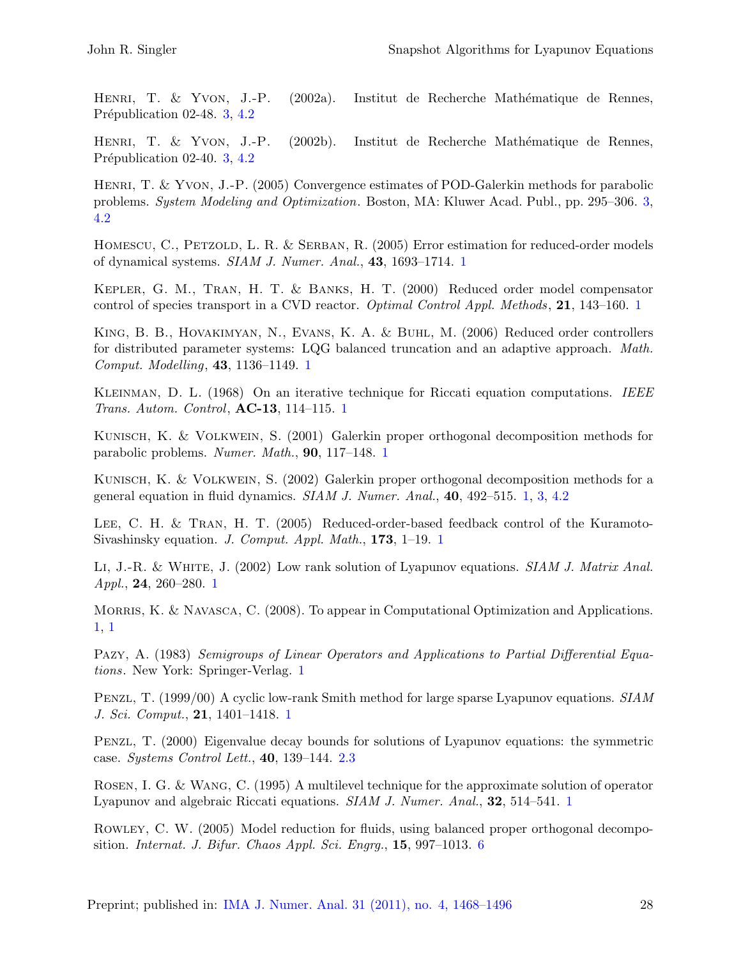<span id="page-28-13"></span>HENRI, T. & YVON, J.-P. (2002a). Institut de Recherche Mathématique de Rennes, Prépublication 02-48.  $3, 4.2$  $3, 4.2$  $3, 4.2$ 

<span id="page-28-14"></span>HENRI, T. & YVON, J.-P. (2002b). Institut de Recherche Mathématique de Rennes, Prépublication 02-40.  $3, 4.2$  $3, 4.2$  $3, 4.2$ 

<span id="page-28-15"></span>Henri, T. & Yvon, J.-P. (2005) Convergence estimates of POD-Galerkin methods for parabolic problems. System Modeling and Optimization. Boston, MA: Kluwer Acad. Publ., pp. 295–306. [3,](#page-9-0) [4.2](#page-14-0)

<span id="page-28-10"></span>HOMESCU, C., PETZOLD, L. R. & SERBAN, R. (2005) Error estimation for reduced-order models of dynamical systems. SIAM J. Numer. Anal., 43, 1693–1714. [1](#page-4-3)

<span id="page-28-6"></span>Kepler, G. M., Tran, H. T. & Banks, H. T. (2000) Reduced order model compensator control of species transport in a CVD reactor. *Optimal Control Appl. Methods*, **2[1](#page-2-2)**, 143–160. 1

<span id="page-28-5"></span>King, B. B., Hovakimyan, N., Evans, K. A. & Buhl, M. (2006) Reduced order controllers for distributed parameter systems: LQG balanced truncation and an adaptive approach. Math. Comput. Modelling, 43, 1136–1149. [1](#page-2-2)

<span id="page-28-0"></span>KLEINMAN, D. L. (1968) On an iterative technique for Riccati equation computations. IEEE Trans. Autom. Control, AC-13, 114–115. [1](#page-1-0)

<span id="page-28-8"></span>Kunisch, K. & Volkwein, S. (2001) Galerkin proper orthogonal decomposition methods for parabolic problems. Numer. Math., 90, 117–148. [1](#page-4-3)

<span id="page-28-9"></span>Kunisch, K. & Volkwein, S. (2002) Galerkin proper orthogonal decomposition methods for a general equation in fluid dynamics.  $SIAM$  J. Numer. Anal., 40, 492–515. [1,](#page-4-3) [3,](#page-9-0) [4.2](#page-14-0)

<span id="page-28-7"></span>Lee, C. H. & Tran, H. T. (2005) Reduced-order-based feedback control of the Kuramoto-Sivashinsky equation. J. Comput. Appl. Math., 173, 1–19. [1](#page-2-2)

<span id="page-28-2"></span>Li, J.-R. & WHITE, J. (2002) Low rank solution of Lyapunov equations. SIAM J. Matrix Anal. Appl., 24, 260–280. [1](#page-1-0)

<span id="page-28-1"></span>MORRIS, K. & NAVASCA, C. (2008). To appear in Computational Optimization and Applications. [1,](#page-1-0) [1](#page-2-2)

<span id="page-28-11"></span>Pazy, A. (1983) Semigroups of Linear Operators and Applications to Partial Differential Equations. New York: Springer-Verlag. [1](#page-5-3)

<span id="page-28-3"></span>PENZL, T. (1999/00) A cyclic low-rank Smith method for large sparse Lyapunov equations. SIAM J. Sci. Comput., 21, 1401–1418. [1](#page-1-0)

<span id="page-28-12"></span>Penzl, T. (2000) Eigenvalue decay bounds for solutions of Lyapunov equations: the symmetric case. Systems Control Lett., 40, 139–144. [2.3](#page-7-0)

<span id="page-28-4"></span>Rosen, I. G. & Wang, C. (1995) A multilevel technique for the approximate solution of operator Lyapunov and algebraic Riccati equations. *SIAM J. Numer. Anal.*, **32**, 5[1](#page-1-0)4–541. 1

<span id="page-28-16"></span>Rowley, C. W. (2005) Model reduction for fluids, using balanced proper orthogonal decomposition. Internat. J. Bifur. Chaos Appl. Sci. Engrg., 15, 997–1013. [6](#page-23-1)